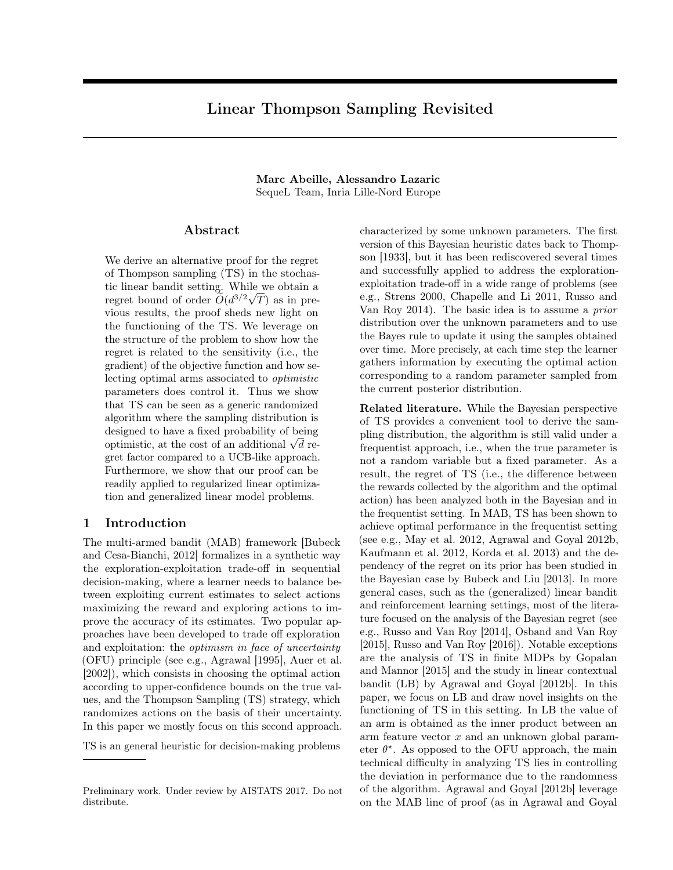# Linear Thompson Sampling Revisited

Marc Abeille, Alessandro Lazaric SequeL Team, Inria Lille-Nord Europe

#### Abstract

We derive an alternative proof for the regret of Thompson sampling (TS) in the stochastic linear bandit setting. While we obtain a regret bound of order  $\tilde{O}(d^{3/2}\sqrt{T})$  as in previous results, the proof sheds new light on the functioning of the TS. We leverage on the structure of the problem to show how the regret is related to the sensitivity (i.e., the gradient) of the objective function and how selecting optimal arms associated to optimistic parameters does control it. Thus we show that TS can be seen as a generic randomized algorithm where the sampling distribution is designed to have a fixed probability of being optimistic, at the cost of an additional  $\sqrt{d}$  regret factor compared to a UCB-like approach. Furthermore, we show that our proof can be readily applied to regularized linear optimization and generalized linear model problems.

# 1 Introduction

The multi-armed bandit (MAB) framework [Bubeck and Cesa-Bianchi, 2012] formalizes in a synthetic way the exploration-exploitation trade-off in sequential decision-making, where a learner needs to balance between exploiting current estimates to select actions maximizing the reward and exploring actions to improve the accuracy of its estimates. Two popular approaches have been developed to trade off exploration and exploitation: the optimism in face of uncertainty (OFU) principle (see e.g., Agrawal [1995], Auer et al. [2002]), which consists in choosing the optimal action according to upper-confidence bounds on the true values, and the Thompson Sampling (TS) strategy, which randomizes actions on the basis of their uncertainty. In this paper we mostly focus on this second approach.

TS is an general heuristic for decision-making problems

characterized by some unknown parameters. The first version of this Bayesian heuristic dates back to Thompson [1933], but it has been rediscovered several times and successfully applied to address the explorationexploitation trade-off in a wide range of problems (see e.g., Strens 2000, Chapelle and Li 2011, Russo and Van Roy 2014). The basic idea is to assume a prior distribution over the unknown parameters and to use the Bayes rule to update it using the samples obtained over time. More precisely, at each time step the learner gathers information by executing the optimal action corresponding to a random parameter sampled from the current posterior distribution.

Related literature. While the Bayesian perspective of TS provides a convenient tool to derive the sampling distribution, the algorithm is still valid under a frequentist approach, i.e., when the true parameter is not a random variable but a fixed parameter. As a result, the regret of TS (i.e., the difference between the rewards collected by the algorithm and the optimal action) has been analyzed both in the Bayesian and in the frequentist setting. In MAB, TS has been shown to achieve optimal performance in the frequentist setting (see e.g., May et al. 2012, Agrawal and Goyal 2012b, Kaufmann et al. 2012, Korda et al. 2013) and the dependency of the regret on its prior has been studied in the Bayesian case by Bubeck and Liu [2013]. In more general cases, such as the (generalized) linear bandit and reinforcement learning settings, most of the literature focused on the analysis of the Bayesian regret (see e.g., Russo and Van Roy [2014], Osband and Van Roy [2015], Russo and Van Roy [2016]). Notable exceptions are the analysis of TS in finite MDPs by Gopalan and Mannor [2015] and the study in linear contextual bandit (LB) by Agrawal and Goyal [2012b]. In this paper, we focus on LB and draw novel insights on the functioning of TS in this setting. In LB the value of an arm is obtained as the inner product between an arm feature vector  $x$  and an unknown global parameter  $\theta^*$ . As opposed to the OFU approach, the main technical difficulty in analyzing TS lies in controlling the deviation in performance due to the randomness of the algorithm. Agrawal and Goyal [2012b] leverage on the MAB line of proof (as in Agrawal and Goyal

Preliminary work. Under review by AISTATS 2017. Do not distribute.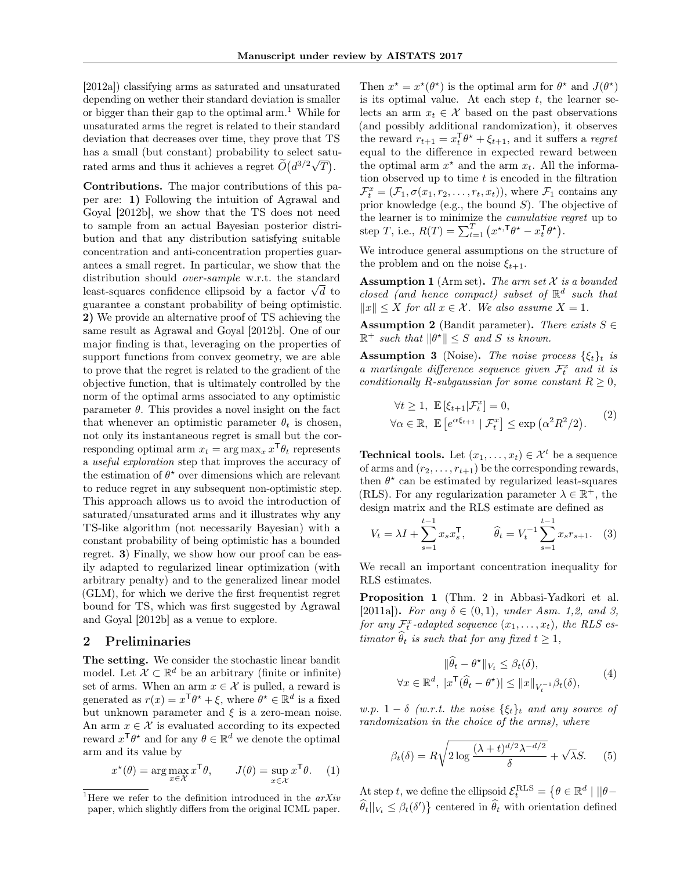[2012a]) classifying arms as saturated and unsaturated depending on wether their standard deviation is smaller or bigger than their gap to the optimal  $arm<sup>1</sup>$ . While for unsaturated arms the regret is related to their standard deviation that decreases over time, they prove that TS has a small (but constant) probability to select saturated arms and thus it achieves a regret  $\widetilde{O}(d^{3/2}\sqrt{T})$ .

Contributions. The major contributions of this paper are: 1) Following the intuition of Agrawal and Goyal [2012b], we show that the TS does not need to sample from an actual Bayesian posterior distribution and that any distribution satisfying suitable concentration and anti-concentration properties guarantees a small regret. In particular, we show that the distribution should over-sample w.r.t. the standard determined to the standard determined the standard least-squares confidence ellipsoid by a factor  $\sqrt{d}$  to guarantee a constant probability of being optimistic. 2) We provide an alternative proof of TS achieving the same result as Agrawal and Goyal [2012b]. One of our major finding is that, leveraging on the properties of support functions from convex geometry, we are able to prove that the regret is related to the gradient of the objective function, that is ultimately controlled by the norm of the optimal arms associated to any optimistic parameter  $\theta$ . This provides a novel insight on the fact that whenever an optimistic parameter  $\theta_t$  is chosen, not only its instantaneous regret is small but the corresponding optimal arm  $x_t = \arg \max_x x^{\mathsf{T}} \theta_t$  represents a useful exploration step that improves the accuracy of the estimation of  $\theta^*$  over dimensions which are relevant to reduce regret in any subsequent non-optimistic step. This approach allows us to avoid the introduction of saturated/unsaturated arms and it illustrates why any TS-like algorithm (not necessarily Bayesian) with a constant probability of being optimistic has a bounded regret. 3) Finally, we show how our proof can be easily adapted to regularized linear optimization (with arbitrary penalty) and to the generalized linear model (GLM), for which we derive the first frequentist regret bound for TS, which was first suggested by Agrawal and Goyal [2012b] as a venue to explore.

#### 2 Preliminaries

The setting. We consider the stochastic linear bandit model. Let  $\mathcal{X} \subset \mathbb{R}^d$  be an arbitrary (finite or infinite) set of arms. When an arm  $x \in \mathcal{X}$  is pulled, a reward is generated as  $r(x) = x^{\mathsf{T}} \theta^* + \xi$ , where  $\theta^* \in \mathbb{R}^d$  is a fixed but unknown parameter and  $\xi$  is a zero-mean noise. An arm  $x \in \mathcal{X}$  is evaluated according to its expected reward  $x^{\mathsf{T}} \theta^*$  and for any  $\theta \in \mathbb{R}^d$  we denote the optimal arm and its value by

$$
x^{\star}(\theta) = \arg \max_{x \in \mathcal{X}} x^{\mathsf{T}} \theta, \qquad J(\theta) = \sup_{x \in \mathcal{X}} x^{\mathsf{T}} \theta. \tag{1}
$$

Then  $x^* = x^*(\theta^*)$  is the optimal arm for  $\theta^*$  and  $J(\theta^*)$ is its optimal value. At each step  $t$ , the learner selects an arm  $x_t \in \mathcal{X}$  based on the past observations (and possibly additional randomization), it observes the reward  $r_{t+1} = x_t^{\mathsf{T}} \theta^* + \xi_{t+1}$ , and it suffers a *regret* equal to the difference in expected reward between the optimal arm  $x^*$  and the arm  $x_t$ . All the information observed up to time  $t$  is encoded in the filtration  $\mathcal{F}_t^x = (\mathcal{F}_1, \sigma(x_1, r_2, \dots, r_t, x_t)),$  where  $\mathcal{F}_1$  contains any prior knowledge (e.g., the bound  $S$ ). The objective of the learner is to minimize the cumulative regret up to step T, i.e.,  $R(T) = \sum_{t=1}^{T} (x^{\star,T} \theta^{\star} - x_t^{\mathsf{T}} \theta^{\star}).$ 

We introduce general assumptions on the structure of the problem and on the noise  $\xi_{t+1}$ .

**Assumption 1** (Arm set). The arm set  $\mathcal X$  is a bounded closed (and hence compact) subset of  $\mathbb{R}^d$  such that  $||x||$  ≤ X for all  $x \in \mathcal{X}$ . We also assume  $X = 1$ .

**Assumption 2** (Bandit parameter). There exists  $S \in$  $\mathbb{R}^+$  such that  $\|\theta^{\star}\| \leq S$  and S is known.

**Assumption 3** (Noise). The noise process  $\{\xi_t\}_t$  is a martingale difference sequence given  $\mathcal{F}_t^x$  and it is conditionally R-subgaussian for some constant  $R \geq 0$ ,

$$
\forall t \ge 1, \ \mathbb{E}\left[\xi_{t+1}|\mathcal{F}_t^x\right] = 0,
$$
  

$$
\forall \alpha \in \mathbb{R}, \ \mathbb{E}\left[e^{\alpha \xi_{t+1}} | \mathcal{F}_t^x\right] \le \exp\left(\alpha^2 R^2/2\right).
$$
 (2)

**Technical tools.** Let  $(x_1, \ldots, x_t) \in \mathcal{X}^t$  be a sequence of arms and  $(r_2, \ldots, r_{t+1})$  be the corresponding rewards, then  $\theta^*$  can be estimated by regularized least-squares (RLS). For any regularization parameter  $\lambda \in \mathbb{R}^+$  , the design matrix and the RLS estimate are defined as

$$
V_t = \lambda I + \sum_{s=1}^{t-1} x_s x_s^{\mathsf{T}}, \qquad \widehat{\theta}_t = V_t^{-1} \sum_{s=1}^{t-1} x_s r_{s+1}. \tag{3}
$$

We recall an important concentration inequality for RLS estimates.

Proposition 1 (Thm. 2 in Abbasi-Yadkori et al. [2011a]). For any  $\delta \in (0,1)$ , under Asm. 1,2, and 3, for any  $\mathcal{F}^x_t$ -adapted sequence  $(x_1, \ldots, x_t)$ , the RLS estimator  $\widehat{\theta}_t$  is such that for any fixed  $t \geq 1$ ,

$$
\|\widehat{\theta}_t - \theta^{\star}\|_{V_t} \leq \beta_t(\delta),
$$
  

$$
\forall x \in \mathbb{R}^d, \ |x^{\mathsf{T}}(\widehat{\theta}_t - \theta^{\star})| \leq ||x||_{V_t^{-1}} \beta_t(\delta),
$$
 (4)

w.p. 1 –  $\delta$  (w.r.t. the noise  $\{\xi_t\}_t$  and any source of randomization in the choice of the arms), where

$$
\beta_t(\delta) = R \sqrt{2 \log \frac{(\lambda + t)^{d/2} \lambda^{-d/2}}{\delta}} + \sqrt{\lambda} S. \tag{5}
$$

At step t, we define the ellipsoid  $\mathcal{E}_t^{\text{RLS}} = \{ \theta \in \mathbb{R}^d \mid ||\theta \widehat{\theta}_t||_{V_t} \leq \beta_t(\delta')\}$  centered in  $\widehat{\theta}_t$  with orientation defined

<sup>&</sup>lt;sup>1</sup>Here we refer to the definition introduced in the  $arXiv$ paper, which slightly differs from the original ICML paper.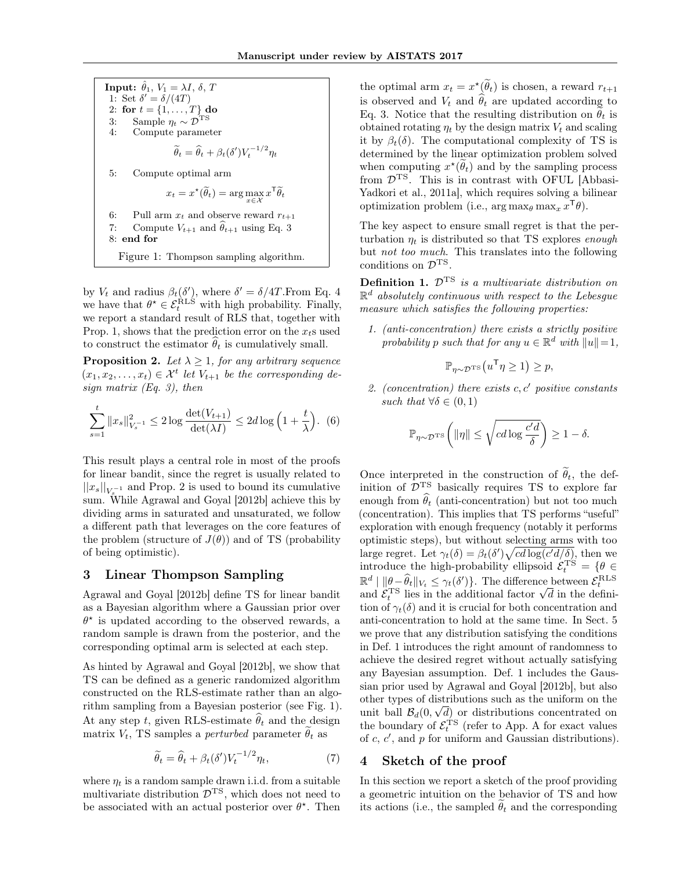**Input:**  $\hat{\theta}_1$ ,  $V_1 = \lambda I$ ,  $\delta$ , T 1: Set  $\delta' = \delta/(4T)$ 2: for  $t = \{1, ..., T\}$  do 3: Sample  $\eta_t \sim \mathcal{D}^{\text{TS}}$ 4: Compute parameter  $\widetilde{\theta}_t = \widehat{\theta}_t + \beta_t(\delta')V_t^{-1/2}\eta_t$ 5: Compute optimal arm  $x_t = x^{\star}(\widetilde{\theta}_t) = \arg\max_{x \in \mathcal{X}} x^{\mathsf{T}} \widetilde{\theta}_t$ 6: Pull arm  $x_t$  and observe reward  $r_{t+1}$ 7: Compute  $V_{t+1}$  and  $\hat{\theta}_{t+1}$  using Eq. 3 8: end for

Figure 1: Thompson sampling algorithm.

by  $V_t$  and radius  $\beta_t(\delta')$ , where  $\delta' = \delta/4T$ . From Eq. 4 we have that  $\theta^* \in \mathcal{E}_t^{\text{RLS}}$  with high probability. Finally, we report a standard result of RLS that, together with Prop. 1, shows that the prediction error on the  $x<sub>t</sub>$ s used to construct the estimator  $\hat{\theta}_t$  is cumulatively small.

**Proposition 2.** Let  $\lambda \geq 1$ , for any arbitrary sequence  $(x_1, x_2, \ldots, x_t) \in \mathcal{X}^t$  let  $V_{t+1}$  be the corresponding design matrix  $(Eq. 3)$ , then

$$
\sum_{s=1}^{t} \|x_{s}\|_{V_{s}^{-1}}^{2} \le 2\log \frac{\det(V_{t+1})}{\det(\lambda I)} \le 2d\log\left(1+\frac{t}{\lambda}\right). (6)
$$

This result plays a central role in most of the proofs for linear bandit, since the regret is usually related to  $||x_s||_{V_s^{-1}}$  and Prop. 2 is used to bound its cumulative sum. While Agrawal and Goyal [2012b] achieve this by dividing arms in saturated and unsaturated, we follow a different path that leverages on the core features of the problem (structure of  $J(\theta)$ ) and of TS (probability of being optimistic).

#### 3 Linear Thompson Sampling

Agrawal and Goyal [2012b] define TS for linear bandit as a Bayesian algorithm where a Gaussian prior over  $\theta^*$  is updated according to the observed rewards, a random sample is drawn from the posterior, and the corresponding optimal arm is selected at each step.

As hinted by Agrawal and Goyal [2012b], we show that TS can be defined as a generic randomized algorithm constructed on the RLS-estimate rather than an algorithm sampling from a Bayesian posterior (see Fig. 1). At any step t, given RLS-estimate  $\hat{\theta}_t$  and the design matrix  $V_t$ , TS samples a *perturbed* parameter  $\hat{\theta}_t$  as

$$
\widetilde{\theta}_t = \widehat{\theta}_t + \beta_t(\delta') V_t^{-1/2} \eta_t,\tag{7}
$$

where  $\eta_t$  is a random sample drawn i.i.d. from a suitable multivariate distribution  $\overline{\mathcal{D}}^{\text{TS}}$ , which does not need to be associated with an actual posterior over  $\theta^*$ . Then

the optimal arm  $x_t = x^{\star}(\tilde{\theta}_t)$  is chosen, a reward  $r_{t+1}$ is observed and  $V_t$  and  $\widehat{\theta}_t$  are updated according to Eq. 3. Notice that the resulting distribution on  $\hat{\theta}_t$  is obtained rotating  $\eta_t$  by the design matrix  $V_t$  and scaling it by  $\beta_t(\delta)$ . The computational complexity of TS is determined by the linear optimization problem solved when computing  $x^{\star}(\theta_t)$  and by the sampling process from  $\mathcal{D}^{TS}$ . This is in contrast with OFUL [Abbasi-Yadkori et al., 2011a], which requires solving a bilinear optimization problem (i.e.,  $\arg \max_{\theta} \max_{x} x^{\mathsf{T}} \theta$ ).

The key aspect to ensure small regret is that the perturbation  $\eta_t$  is distributed so that TS explores enough but not too much. This translates into the following conditions on  $\mathcal{D}^{TS}$ .

**Definition 1.**  $\mathcal{D}^{TS}$  is a multivariate distribution on  $\mathbb{R}^d$  absolutely continuous with respect to the Lebesgue measure which satisfies the following properties:

1. (anti-concentration) there exists a strictly positive probability p such that for any  $u \in \mathbb{R}^d$  with  $||u|| = 1$ ,

$$
\mathbb{P}_{\eta \sim \mathcal{D}^{\mathrm{TS}}}\left(u^{\mathsf{T}}\eta \geq 1\right) \geq p,
$$

2. (concentration) there exists  $c, c'$  positive constants such that  $\forall \delta \in (0,1)$ 

$$
\mathbb{P}_{\eta \sim \mathcal{D}^{\mathrm{TS}}} \bigg( \|\eta\| \leq \sqrt{cd\log \frac{c'd}{\delta}} \bigg) \geq 1-\delta.
$$

Once interpreted in the construction of  $\tilde{\theta}_t$ , the definition of  $\overline{\mathcal{D}}^{TS}$  basically requires TS to explore far enough from  $\widehat{\theta}_t$  (anti-concentration) but not too much (concentration). This implies that TS performs "useful" exploration with enough frequency (notably it performs optimistic steps), but without selecting arms with too large regret. Let  $\gamma_t(\delta) = \beta_t(\delta') \sqrt{cd \log(c'd/\delta)}$ , then we introduce the high-probability ellipsoid  $\mathcal{E}_t^{\text{TS}} = \{ \theta \in$  $\mathbb{R}^d \mid \|\theta - \widehat{\theta}_t\|_{V_t} \leq \gamma_t(\delta')\}.$  The difference between  $\mathcal{E}_t^{\text{RLS}}$ and  $\mathcal{E}_t^{\text{TS}}$  lies in the additional factor  $\sqrt{d}$  in the definition of  $\gamma_t(\delta)$  and it is crucial for both concentration and anti-concentration to hold at the same time. In Sect. 5 we prove that any distribution satisfying the conditions in Def. 1 introduces the right amount of randomness to achieve the desired regret without actually satisfying any Bayesian assumption. Def. 1 includes the Gaussian prior used by Agrawal and Goyal [2012b], but also other types of distributions such as the uniform on the unit ball  $\mathcal{B}_d(0,\sqrt{d})$  or distributions concentrated on the boundary of  $\mathcal{E}_t^{\text{TS}}$  (refer to App. A for exact values of  $c, c'$ , and  $p$  for uniform and Gaussian distributions).

#### 4 Sketch of the proof

In this section we report a sketch of the proof providing a geometric intuition on the behavior of TS and how its actions (i.e., the sampled  $\theta_t$  and the corresponding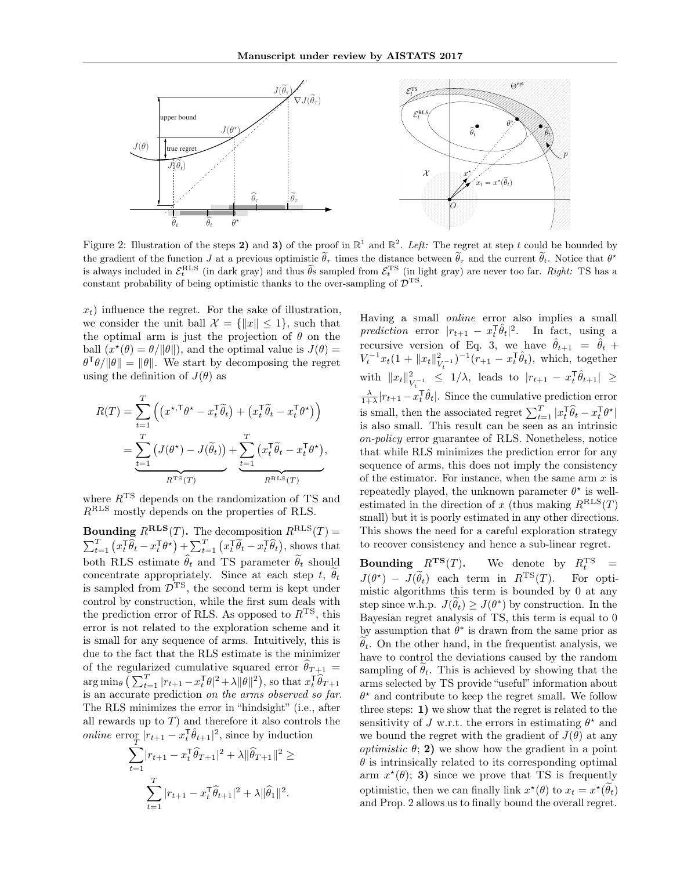

Figure 2: Illustration of the steps 2) and 3) of the proof in  $\mathbb{R}^1$  and  $\mathbb{R}^2$ . Left: The regret at step t could be bounded by the gradient of the function J at a previous optimistic  $\tilde{\theta}_{\tau}$  times the distance between  $\tilde{\theta}_{\tau}$  and the current  $\tilde{\theta}_{t}$ . Notice that  $\theta^{\star}$ is always included in  $\mathcal{E}_t^{\text{RLS}}$  (in dark gray) and thus  $\widetilde{\theta}_s$  sampled from  $\mathcal{E}_t^{\text{TS}}$  (in light gray) are never too far. Right: TS has a constant probability of being optimistic thanks to the over-sampling of  $\mathcal{D}^{TS}$ .

 $x_t$ ) influence the regret. For the sake of illustration, we consider the unit ball  $\mathcal{X} = \{\Vert x \Vert \leq 1\}$ , such that the optimal arm is just the projection of  $\theta$  on the ball  $(x^*(\theta) = \theta/\|\theta\|)$ , and the optimal value is  $J(\theta) =$  $\theta^{\mathsf{T}}\theta/\|\theta\| = \|\theta\|$ . We start by decomposing the regret using the definition of  $J(\theta)$  as

$$
R(T) = \sum_{t=1}^{T} \left( \left( x^{\star, \mathsf{T}} \theta^{\star} - x_t^{\mathsf{T}} \tilde{\theta}_t \right) + \left( x_t^{\mathsf{T}} \tilde{\theta}_t - x_t^{\mathsf{T}} \theta^{\star} \right) \right)
$$
  
= 
$$
\underbrace{\sum_{t=1}^{T} \left( J(\theta^{\star}) - J(\tilde{\theta}_t) \right)}_{R^{\text{TS}}(T)} + \underbrace{\sum_{t=1}^{T} \left( x_t^{\mathsf{T}} \tilde{\theta}_t - x_t^{\mathsf{T}} \theta^{\star} \right)}_{R^{\text{RLS}}(T)},
$$

where  $R^{TS}$  depends on the randomization of TS and RRLS mostly depends on the properties of RLS.

**Bounding**  $R^{\text{RLS}}(T)$ . The decomposition  $R^{\text{RLS}}(T)$  =  $\sum_{t=1}^T \left( x_t^\mathsf{T} \widehat{\theta}_t - x_t^\mathsf{T} \theta^\star \right) + \sum_{t=1}^T \left( x_t^\mathsf{T} \widetilde{\theta}_t - x_t^\mathsf{T} \widehat{\theta}_t \right)$ , shows that both RLS estimate  $\hat{\theta}_t$  and TS parameter  $\tilde{\theta}_t$  should concentrate appropriately. Since at each step t,  $\tilde{\theta}_t$ is sampled from  $\overline{\mathcal{D}}^{TS}$ , the second term is kept under control by construction, while the first sum deals with the prediction error of RLS. As opposed to  $R<sup>TS</sup>$ , this error is not related to the exploration scheme and it is small for any sequence of arms. Intuitively, this is due to the fact that the RLS estimate is the minimizer of the regularized cumulative squared error  $\theta_{T+1} =$  $\arg \min_{\theta} \left( \sum_{t=1}^T |r_{t+1} - x_t^{\mathsf{T}} \theta|^2 + \lambda \|\theta\|^2 \right)$ , so that  $x_t^{\mathsf{T}} \widehat{\theta}_{T+1}$ is an accurate prediction on the arms observed so far. The RLS minimizes the error in "hindsight" (i.e., after all rewards up to  $T$ ) and therefore it also controls the *online* error  $|r_{t+1} - x_t^{\mathsf{T}} \hat{\theta}_{t+1}|^2$ , since by induction

$$
\sum_{t=1}^{T} |r_{t+1} - x_t^{\mathsf{T}} \hat{\theta}_{T+1}|^2 + \lambda ||\hat{\theta}_{T+1}||^2 \ge
$$
  

$$
\sum_{t=1}^{T} |r_{t+1} - x_t^{\mathsf{T}} \hat{\theta}_{t+1}|^2 + \lambda ||\hat{\theta}_1||^2.
$$

Having a small online error also implies a small prediction error  $|r_{t+1} - x_t^{\mathsf{T}} \hat{\theta}_t|^2$ . In fact, using a recursive version of Eq. 3, we have  $\hat{\theta}_{t+1} = \hat{\theta}_t +$  $V_t^{-1}x_t(1+\|x_t\|_V^2)$  $(v_{t-1})^{-1}(r_{+1} - x_t^{\mathsf{T}} \hat{\theta}_t)$ , which, together with  $||x_t||^2$  $\frac{2}{V_t^{-1}} \leq 1/\lambda$ , leads to  $|r_{t+1} - x_t^{\text{T}} \hat{\theta}_{t+1}| \geq$  $\frac{\lambda}{1+\lambda}|r_{t+1}-x_t^{\text{T}}\hat{\theta}_t|$ . Since the cumulative prediction error is small, then the associated regret  $\sum_{t=1}^{T} |x_t^\mathsf{T} \widehat{\theta}_t - x_t^\mathsf{T} \theta^\star|$ is also small. This result can be seen as an intrinsic on-policy error guarantee of RLS. Nonetheless, notice that while RLS minimizes the prediction error for any sequence of arms, this does not imply the consistency of the estimator. For instance, when the same arm  $x$  is repeatedly played, the unknown parameter  $\theta^*$  is wellestimated in the direction of x (thus making  $R^{\text{RLS}}(T)$ ) small) but it is poorly estimated in any other directions. This shows the need for a careful exploration strategy to recover consistency and hence a sub-linear regret.

**Bounding**  $R^{TS}(T)$ . We denote by  $R_t^{TS}$  =  $J(\theta^*) - J(\tilde{\theta}_t)$  each term in  $R^{TS}(T)$ . For optimistic algorithms this term is bounded by 0 at any step since w.h.p.  $J(\tilde{\theta}_t) \ge J(\theta^*)$  by construction. In the Bayesian regret analysis of TS, this term is equal to 0 by assumption that  $\theta^*$  is drawn from the same prior as  $\theta_t$ . On the other hand, in the frequentist analysis, we have to control the deviations caused by the random sampling of  $\hat{\theta}_t$ . This is achieved by showing that the arms selected by TS provide "useful" information about  $\theta^*$  and contribute to keep the regret small. We follow three steps: 1) we show that the regret is related to the sensitivity of J w.r.t. the errors in estimating  $\theta^*$  and we bound the regret with the gradient of  $J(\theta)$  at any *optimistic*  $\theta$ ; **2**) we show how the gradient in a point  $\theta$  is intrinsically related to its corresponding optimal arm  $x^*(\theta)$ ; 3) since we prove that TS is frequently optimistic, then we can finally link  $x^*(\theta)$  to  $x_t = x^*(\theta_t)$ and Prop. 2 allows us to finally bound the overall regret.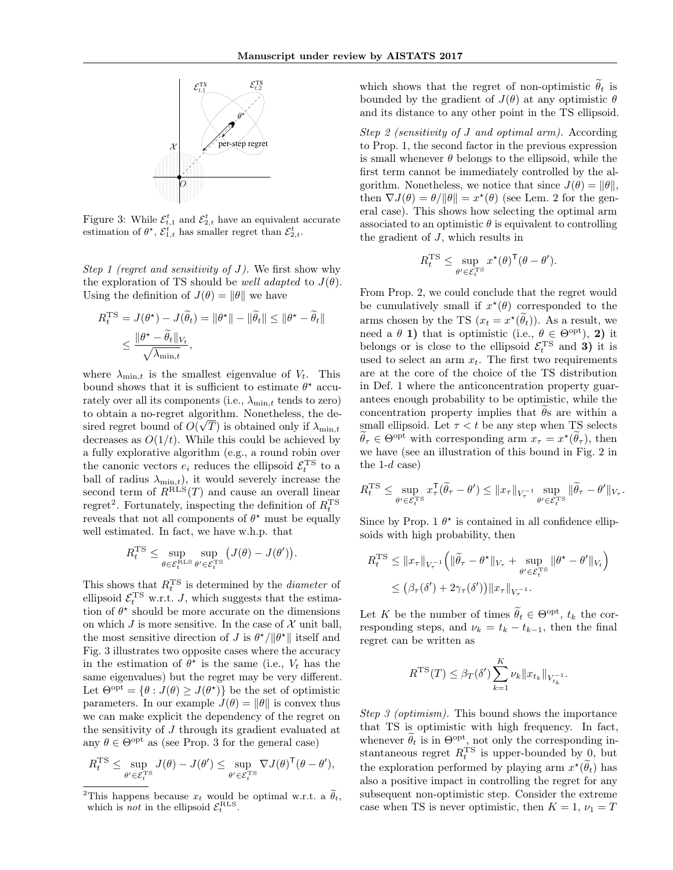

Figure 3: While  $\mathcal{E}_{t,1}^{t}$  and  $\mathcal{E}_{2,t}^{t}$  have an equivalent accurate estimation of  $\theta^{\star}$ ,  $\mathcal{E}_{1,t}^{t}$  has smaller regret than  $\mathcal{E}_{2,t}^{t}$ .

Step 1 (regret and sensitivity of J). We first show why the exploration of TS should be *well adapted* to  $J(\theta)$ . Using the definition of  $J(\theta) = ||\theta||$  we have

$$
R_t^{\text{TS}} = J(\theta^*) - J(\widetilde{\theta}_t) = \|\theta^*\| - \|\widetilde{\theta}_t\| \le \|\theta^* - \widetilde{\theta}_t\|
$$
  

$$
\le \frac{\|\theta^* - \widetilde{\theta}_t\|_{V_t}}{\sqrt{\lambda_{\min,t}}},
$$

where  $\lambda_{\min,t}$  is the smallest eigenvalue of  $V_t$ . This bound shows that it is sufficient to estimate  $\theta^*$  accurately over all its components (i.e.,  $\lambda_{\min,t}$  tends to zero) to obtain a no-regret algorithm. Nonetheless, the desired regret bound of  $O(\sqrt{T})$  is obtained only if  $\lambda_{\min,t}$ decreases as  $O(1/t)$ . While this could be achieved by a fully explorative algorithm (e.g., a round robin over the canonic vectors  $e_i$  reduces the ellipsoid  $\mathcal{E}_t^{\text{TS}}$  to a the canonic vectors  $e_i$  reduces the empsoid  $c_t$  to a<br>ball of radius  $\lambda_{\min,t}$ , it would severely increase the second term of  $R_{\text{RLS}}(T)$  and cause an overall linear regret<sup>2</sup>. Fortunately, inspecting the definition of  $R_t^{\text{TS}}$ reveals that not all components of  $\theta^*$  must be equally well estimated. In fact, we have w.h.p. that

$$
R_t^{\text{TS}} \le \sup_{\theta \in \mathcal{E}_t^{\text{RLS}} } \sup_{\theta' \in \mathcal{E}_t^{\text{TS}}} \left( J(\theta) - J(\theta') \right).
$$

This shows that  $R_t^{\text{TS}}$  is determined by the *diameter* of ellipsoid  $\mathcal{E}_t^{\text{TS}}$  w.r.t. *J*, which suggests that the estimation of  $\theta^*$  should be more accurate on the dimensions on which J is more sensitive. In the case of  $\mathcal X$  unit ball, the most sensitive direction of J is  $\theta^{\star}/\|\theta^{\star}\|$  itself and Fig. 3 illustrates two opposite cases where the accuracy in the estimation of  $\theta^*$  is the same (i.e.,  $V_t$  has the same eigenvalues) but the regret may be very different. Let  $\Theta^{\text{opt}} = \{ \theta : J(\theta) \geq J(\theta^{\star}) \}$  be the set of optimistic parameters. In our example  $J(\theta) = ||\theta||$  is convex thus we can make explicit the dependency of the regret on the sensitivity of J through its gradient evaluated at any  $\theta \in \Theta^{\text{opt}}$  as (see Prop. 3 for the general case)

$$
R_t^{\mathrm{TS}} \leq \sup_{\theta' \in \mathcal{E}_t^{\mathrm{TS}}} J(\theta) - J(\theta') \leq \sup_{\theta' \in \mathcal{E}_t^{\mathrm{TS}}} \nabla J(\theta)^{\mathsf{T}}(\theta - \theta'),
$$

which shows that the regret of non-optimistic  $\tilde{\theta}_t$  is bounded by the gradient of  $J(\theta)$  at any optimistic  $\theta$ and its distance to any other point in the TS ellipsoid.

Step 2 (sensitivity of J and optimal arm). According to Prop. 1, the second factor in the previous expression is small whenever  $\theta$  belongs to the ellipsoid, while the first term cannot be immediately controlled by the algorithm. Nonetheless, we notice that since  $J(\theta) = ||\theta||$ , then  $\nabla J(\theta) = \theta / ||\theta|| = x^*(\theta)$  (see Lem. 2 for the general case). This shows how selecting the optimal arm associated to an optimistic  $\theta$  is equivalent to controlling the gradient of J, which results in

$$
R_t^{\mathrm{TS}} \le \sup_{\theta' \in \mathcal{E}_t^{\mathrm{TS}}} x^{\star}(\theta)^{\mathsf{T}}(\theta - \theta').
$$

From Prop. 2, we could conclude that the regret would be cumulatively small if  $x^*(\theta)$  corresponded to the arms chosen by the TS  $(x_t = x^{\star}(\tilde{\theta}_t))$ . As a result, we need a  $\theta$  1) that is optimistic (i.e.,  $\theta \in \Theta^{\text{opt}}$ ), 2) it belongs or is close to the ellipsoid  $\mathcal{E}_t^{\text{TS}}$  and **3**) it is used to select an arm  $x_t$ . The first two requirements are at the core of the choice of the TS distribution in Def. 1 where the anticoncentration property guarantees enough probability to be optimistic, while the concentration property implies that  $\theta$ s are within a small ellipsoid. Let  $\tau < t$  be any step when TS selects  $\tilde{\theta}_{\tau} \in \Theta^{\text{opt}}$  with corresponding arm  $x_{\tau} = x^{\star}(\tilde{\theta}_{\tau}),$  then we have (see an illustration of this bound in Fig. 2 in the  $1-d$  case)

$$
R_t^{\rm TS}\leq \sup_{\theta'\in \mathcal{E}_t^{\rm TS}}x_\tau^{\sf T}(\widetilde{\theta}_\tau-\theta')\leq \|x_\tau\|_{V_\tau^{-1}}\sup_{\theta'\in \mathcal{E}_t^{\rm TS}}\|\widetilde{\theta}_\tau-\theta'\|_{V_\tau}.
$$

Since by Prop. 1  $\theta^*$  is contained in all confidence ellipsoids with high probability, then

$$
R_t^{\text{TS}} \le ||x_\tau||_{V_\tau^{-1}} \Big( ||\widetilde{\theta}_\tau - \theta^\star||_{V_\tau} + \sup_{\theta' \in \mathcal{E}_t^{\text{TS}}} ||\theta^\star - \theta'||_{V_t} \Big)
$$
  

$$
\le (\beta_\tau(\delta') + 2\gamma_\tau(\delta')) ||x_\tau||_{V_\tau^{-1}}.
$$

Let K be the number of times  $\tilde{\theta}_t \in \Theta^{\text{opt}}, t_k$  the corresponding steps, and  $\nu_k = t_k - t_{k-1}$ , then the final regret can be written as

$$
R^{TS}(T) \leq \beta_T(\delta') \sum_{k=1}^K \nu_k \|x_{t_k}\|_{V_{t_k}^{-1}}.
$$

Step 3 (optimism). This bound shows the importance that TS is optimistic with high frequency. In fact, whenever  $\theta_t$  is in  $\Theta^{\text{opt}}$ , not only the corresponding instantaneous regret  $R_t^{\text{TS}}$  is upper-bounded by 0, but the exploration performed by playing arm  $x^{\star}(\theta_t)$  has also a positive impact in controlling the regret for any subsequent non-optimistic step. Consider the extreme case when TS is never optimistic, then  $K = 1$ ,  $\nu_1 = T$ 

<sup>&</sup>lt;sup>2</sup>This happens because  $x_t$  would be optimal w.r.t. a  $\tilde{\theta}_t$ , which is *not* in the ellipsoid  $\mathcal{E}_t^{\text{RLS}}$ .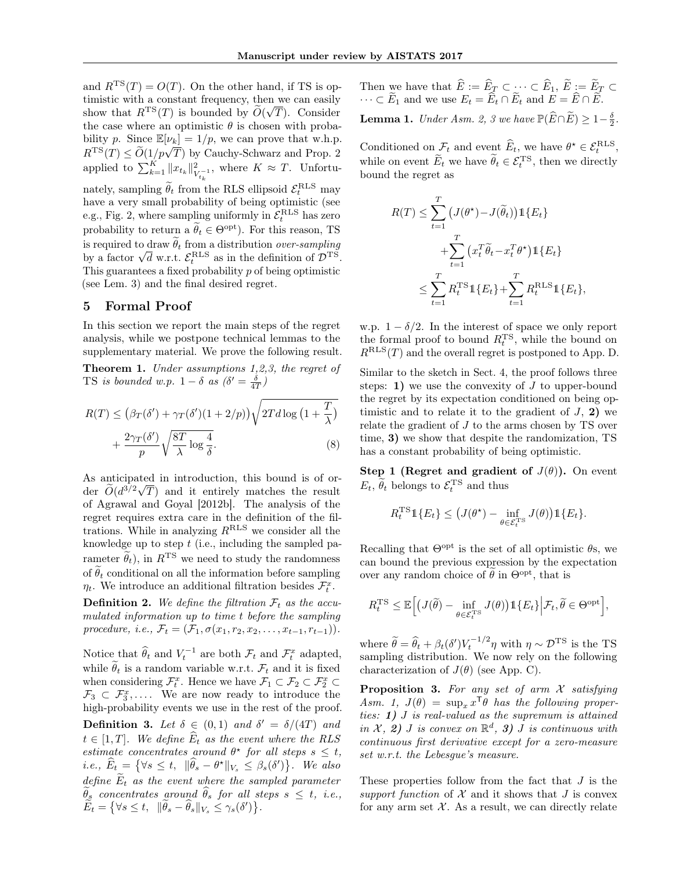and  $R^{TS}(T) = O(T)$ . On the other hand, if TS is optimistic with a constant frequency, then we can easily show that  $R^{TS}(T)$  is bounded by  $\widetilde{O}(\sqrt{T})$ . Consider the case where an optimistic  $\theta$  is chosen with probability p. Since  $\mathbb{E}[\nu_k] = 1/p$ , we can prove that w.h.p.  $R^{TS}(T) \leq \widetilde{O}(1/p\sqrt{T})$  by Cauchy-Schwarz and Prop. 2 applied to  $\sum_{k=1}^K ||x_{t_k}||_V^2$  $\frac{2}{V_{t_k}^{-1}}$ , where  $K \approx T$ . Unfortunately, sampling  $\widetilde{\theta}_t$  from the RLS ellipsoid  $\mathcal{E}_t^{\text{RLS}}$  may have a very small probability of being optimistic (see e.g., Fig. 2, where sampling uniformly in  $\tilde{\mathcal{E}}_t^{\text{RLS}}$  has zero probability to return a  $\widetilde{\theta}_t \in \Theta^{\text{opt}}$ ). For this reason, TS is required to draw  $\widetilde{\theta}_t$  from a distribution *over-sampling* by a factor  $\sqrt{d}$  w.r.t.  $\mathcal{E}_t^{\text{RLS}}$  as in the definition of  $\mathcal{D}^{\text{TS}}$ . This guarantees a fixed probability  $p$  of being optimistic (see Lem. 3) and the final desired regret.

## 5 Formal Proof

In this section we report the main steps of the regret analysis, while we postpone technical lemmas to the supplementary material. We prove the following result.

Theorem 1. Under assumptions 1,2,3, the regret of TS is bounded w.p.  $1 - \delta$  as  $(\delta' = \frac{\delta}{4T})$ 

$$
R(T) \le (\beta_T(\delta') + \gamma_T(\delta')(1 + 2/p))\sqrt{2Td\log(1 + \frac{T}{\lambda})} + \frac{2\gamma_T(\delta')}{p}\sqrt{\frac{8T}{\lambda}\log\frac{4}{\delta}}.
$$
 (8)

As anticipated in introduction, this bound is of order  $\tilde{O}(d^{3/2}\sqrt{T})$  and it entirely matches the result of Agrawal and Goyal [2012b]. The analysis of the regret requires extra care in the definition of the filtrations. While in analyzing  $R^{\mathrm{RLS}}$  we consider all the knowledge up to step  $t$  (i.e., including the sampled parameter  $\tilde{\theta}_t$ ), in  $R^{TS}$  we need to study the randomness of  $\tilde{\theta}_t$  conditional on all the information before sampling  $\eta_t$ . We introduce an additional filtration besides  $\mathcal{F}_t^x$ .

**Definition 2.** We define the filtration  $\mathcal{F}_t$  as the accumulated information up to time t before the sampling procedure, i.e.,  $\mathcal{F}_t = (\mathcal{F}_1, \sigma(x_1, r_2, x_2, \ldots, x_{t-1}, r_{t-1})).$ 

Notice that  $\widehat{\theta}_t$  and  $V_t^{-1}$  are both  $\mathcal{F}_t$  and  $\mathcal{F}_t^x$  adapted, while  $\theta_t$  is a random variable w.r.t.  $\mathcal{F}_t$  and it is fixed when considering  $\mathcal{F}_{t}^{x}$ . Hence we have  $\mathcal{F}_{1} \subset \mathcal{F}_{2} \subset \mathcal{F}_{2}^{x} \subset$  $\mathcal{F}_3 \subset \mathcal{F}_3^x, \ldots$  We are now ready to introduce the high-probability events we use in the rest of the proof.

**Definition 3.** Let  $\delta \in (0,1)$  and  $\delta' = \delta/(4T)$  and  $t \in [1, T]$ . We define  $\widehat{E}_t$  as the event where the RLS estimate concentrates around  $\theta^*$  for all steps  $s \leq t$ , *i.e.*,  $\widehat{E}_t = \{ \forall s \leq t, \|\widehat{\theta}_s - \theta^{\star}\|_{V_s} \leq \beta_s(\delta') \}.$  We also define  $\widetilde{E}_t$  as the event where the sampled parameter  $\widetilde{\theta}_s$  concentrates around  $\widehat{\theta}_s$  for all steps  $s \leq t$ , i.e.,  $\widetilde{E}_t = \left\{ \forall s \leq t, \, \|\widetilde{\theta}_s - \widehat{\theta}_s\|_{V_s} \leq \gamma_s(\delta') \right\}.$ 

Then we have that  $E := E_{\underline{T}} \subset \cdots \subset E_1, E := E_{\underline{T}} \subset$  $\cdots \subset E_1$  and we use  $E_t = E_t \cap E_t$  and  $E = E \cap E$ .

**Lemma 1.** Under Asm. 2, 3 we have  $\mathbb{P}(\widehat{E}\cap\widetilde{E})\geq1-\frac{\delta}{2}$ .

Conditioned on  $\mathcal{F}_t$  and event  $\widehat{E}_t$ , we have  $\theta^* \in \mathcal{E}_t^{\text{RLS}}$ , while on event  $\widetilde{E}_t$  we have  $\widetilde{\theta}_t \in \mathcal{E}_t^{\text{TS}}$ , then we directly bound the regret as

$$
R(T) \leq \sum_{t=1}^{T} \left( J(\theta^*) - J(\widetilde{\theta}_t) \right) \mathbb{1} \{ E_t \}
$$
  
+ 
$$
\sum_{t=1}^{T} \left( x_t^T \widetilde{\theta}_t - x_t^T \theta^* \right) \mathbb{1} \{ E_t \}
$$
  

$$
\leq \sum_{t=1}^{T} R_t^{\text{TS}} \mathbb{1} \{ E_t \} + \sum_{t=1}^{T} R_t^{\text{RLS}} \mathbb{1} \{ E_t \},
$$

w.p.  $1 - \delta/2$ . In the interest of space we only report the formal proof to bound  $R_t^{\text{TS}}$ , while the bound on  $R<sup>RLS</sup>(T)$  and the overall regret is postponed to App. D.

Similar to the sketch in Sect. 4, the proof follows three steps: 1) we use the convexity of  $J$  to upper-bound the regret by its expectation conditioned on being optimistic and to relate it to the gradient of  $J$ , 2) we relate the gradient of J to the arms chosen by TS over time, 3) we show that despite the randomization, TS has a constant probability of being optimistic.

Step 1 (Regret and gradient of  $J(\theta)$ ). On event  $E_t$ ,  $\widetilde{\theta}_t$  belongs to  $\mathcal{E}_t^{\text{TS}}$  and thus

$$
R_t^{\text{TS}} \mathbb{1}\{E_t\} \leq \big(J(\theta^{\star}) - \inf_{\theta \in \mathcal{E}_t^{\text{TS}}} J(\theta)\big) \mathbb{1}\{E_t\}.
$$

Recalling that  $\Theta^{\text{opt}}$  is the set of all optimistic  $\theta$ s, we can bound the previous expression by the expectation over any random choice of  $\tilde{\theta}$  in  $\Theta^{\text{opt}}$ , that is

$$
R_t^{\rm TS}\leq \mathbb{E}\Big[\big(J(\widetilde{\theta})-\inf_{\theta\in\mathcal{E}_t^{\rm TS}}J(\theta)\big)\mathbb{1}\{E_t\}\Big|\mathcal{F}_t,\widetilde{\theta}\in\Theta^{\rm opt}\Big],
$$

where  $\tilde{\theta} = \hat{\theta}_t + \beta_t(\delta') V_t^{-1/2} \eta$  with  $\eta \sim \mathcal{D}^{TS}$  is the TS sampling distribution. We now rely on the following characterization of  $J(\theta)$  (see App. C).

**Proposition 3.** For any set of arm  $X$  satisfying Asm. 1,  $J(\theta) = \sup_x x^{\mathsf{T}} \theta$  has the following properties: 1) J is real-valued as the supremum is attained in  $\mathcal{X}, 2)$  J is convex on  $\mathbb{R}^d$ , 3) J is continuous with continuous first derivative except for a zero-measure set w.r.t. the Lebesgue's measure.

These properties follow from the fact that J is the support function of  $\mathcal X$  and it shows that  $J$  is convex for any arm set  $X$ . As a result, we can directly relate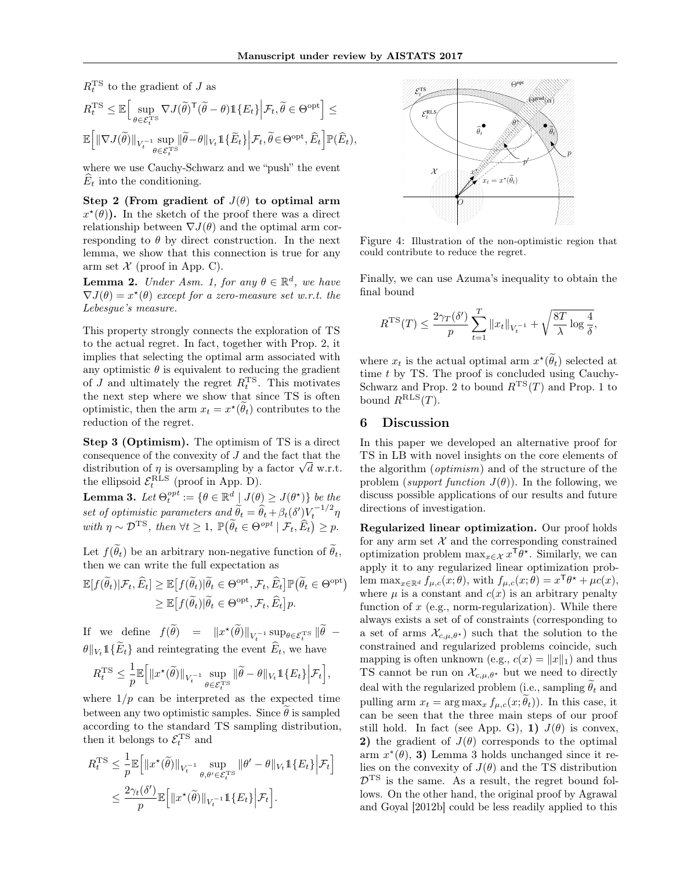$R_t^{\text{TS}}$  to the gradient of J as

$$
\label{eq:RtT} \begin{aligned} &R_t^{\rm TS} \leq \mathbb{E}\Big[\sup_{\theta \in \mathcal{E}_t^{\rm TS}} \nabla J(\widetilde{\theta})^{\sf T}(\widetilde{\theta} - \theta) \mathbbm{1}\{E_t\} \Big| \mathcal{F}_t, \widetilde{\theta} \in \Theta^{\rm opt}\Big] \leq \\ &\mathbb{E}\Big[\| \nabla J(\widetilde{\theta})\|_{V_t^{-1}} \sup_{\theta \in \mathcal{E}_t^{\rm TS}}\|\widetilde{\theta} - \theta\|_{V_t} \mathbbm{1}\{\widetilde{E}_t\} \Big| \mathcal{F}_t, \widetilde{\theta} \in \Theta^{\rm opt}, \widehat{E}_t\Big] \mathbb{P}(\widehat{E}_t), \end{aligned}
$$

where we use Cauchy-Schwarz and we "push" the event  $E_t$  into the conditioning.

Step 2 (From gradient of  $J(\theta)$  to optimal arm  $x^{\star}(\theta)$ ). In the sketch of the proof there was a direct relationship between  $\nabla J(\theta)$  and the optimal arm corresponding to  $\theta$  by direct construction. In the next lemma, we show that this connection is true for any arm set  $\mathcal X$  (proof in App. C).

**Lemma 2.** Under Asm. 1, for any  $\theta \in \mathbb{R}^d$ , we have  $\nabla J(\theta) = x^{\star}(\theta)$  except for a zero-measure set w.r.t. the Lebesgue's measure.

This property strongly connects the exploration of TS to the actual regret. In fact, together with Prop. 2, it implies that selecting the optimal arm associated with any optimistic  $\theta$  is equivalent to reducing the gradient of  $J$  and ultimately the regret  $R_t^{\text{TS}}$ . This motivates the next step where we show that since TS is often optimistic, then the arm  $x_t = x^*(\theta_t)$  contributes to the reduction of the regret.

Step 3 (Optimism). The optimism of TS is a direct consequence of the convexity of J and the fact that the distribution of  $\eta$  is oversampling by a factor  $\sqrt{d}$  w.r.t. the ellipsoid  $\mathcal{E}_t^{\text{RLS}}$  (proof in App. D).

**Lemma 3.** Let  $\Theta_t^{opt} := \{ \theta \in \mathbb{R}^d \downarrow J(\theta) \geq J(\theta^{\star}) \}$  be the set of optimistic parameters and  $\widetilde{\theta}_t = \widehat{\theta}_t + \beta_t(\delta') V_t^{-1/2} \eta$ with  $\eta \sim \mathcal{D}^{TS}$ , then  $\forall t \geq 1$ ,  $\mathbb{P}(\widetilde{\theta}_t \in \Theta^{opt} | \mathcal{F}_t, \widehat{E}_t) \geq p$ .

Let  $f(\widetilde{\theta}_t)$  be an arbitrary non-negative function of  $\widetilde{\theta}_t$ , then we can write the full expectation as

$$
\mathbb{E}[f(\widetilde{\theta}_t)|\mathcal{F}_t, \widehat{E}_t] \geq \mathbb{E}[f(\widetilde{\theta}_t)|\widetilde{\theta}_t \in \Theta^{\mathrm{opt}}, \mathcal{F}_t, \widehat{E}_t] \mathbb{P}(\widetilde{\theta}_t \in \Theta^{\mathrm{opt}}) \geq \mathbb{E}[f(\widetilde{\theta}_t)|\widetilde{\theta}_t \in \Theta^{\mathrm{opt}}, \mathcal{F}_t, \widehat{E}_t] p.
$$

If we define  $f(\tilde{\theta}) = ||x^{\star}(\tilde{\theta})||_{V_t^{-1}} \sup_{\theta \in \mathcal{E}_t^{\text{TS}}} ||\tilde{\theta} \theta \|_{V_t} 1 \{\widetilde{E}_t\}$  and reintegrating the event  $\widehat{E}_t$ , we have

$$
R_t^{\mathrm{TS}} \leq \frac{1}{p} \mathbb{E} \Big[ \Vert x^{\star}(\widetilde{\theta}) \Vert_{V_t^{-1}} \sup_{\theta \in \mathcal{E}_t^{\mathrm{TS}}} \Vert \widetilde{\theta} - \theta \Vert_{V_t} \mathbb{1} \{ E_t \} \Big| \mathcal{F}_t \Big],
$$

where  $1/p$  can be interpreted as the expected time between any two optimistic samples. Since  $\hat{\theta}$  is sampled according to the standard TS sampling distribution, then it belongs to  $\mathcal{E}_t^{\text{TS}}$  and

$$
R_t^{\text{TS}} \leq \frac{1}{p} \mathbb{E} \Big[ \|x^{\star}(\widetilde{\theta})\|_{V_t^{-1}} \sup_{\theta, \theta' \in \mathcal{E}_t^{\text{TS}}} \|\theta' - \theta\|_{V_t} \mathbb{1}\{E_t\} \Big| \mathcal{F}_t \Big]
$$
  

$$
\leq \frac{2\gamma_t(\delta')}{p} \mathbb{E} \Big[ \|x^{\star}(\widetilde{\theta})\|_{V_t^{-1}} \mathbb{1}\{E_t\} \Big| \mathcal{F}_t \Big].
$$



Figure 4: Illustration of the non-optimistic region that could contribute to reduce the regret.

Finally, we can use Azuma's inequality to obtain the final bound

$$
R^{TS}(T) \le \frac{2\gamma_T(\delta')}{p} \sum_{t=1}^T ||x_t||_{V_t^{-1}} + \sqrt{\frac{8T}{\lambda} \log \frac{4}{\delta}},
$$

where  $x_t$  is the actual optimal arm  $x^*(\theta_t)$  selected at time t by TS. The proof is concluded using Cauchy-Schwarz and Prop. 2 to bound  $R^{TS}(T)$  and Prop. 1 to bound  $R^{RLS}(T)$ .

#### 6 Discussion

In this paper we developed an alternative proof for TS in LB with novel insights on the core elements of the algorithm (optimism) and of the structure of the problem (support function  $J(\theta)$ ). In the following, we discuss possible applications of our results and future directions of investigation.

Regularized linear optimization. Our proof holds for any arm set  $X$  and the corresponding constrained optimization problem  $\max_{x \in \mathcal{X}} x^{\mathsf{T}} \theta^*$ . Similarly, we can apply it to any regularized linear optimization problem  $\max_{x \in \mathbb{R}^d} f_{\mu,c}(x;\theta)$ , with  $f_{\mu,c}(x;\theta) = x^{\mathsf{T}} \theta^* + \mu c(x)$ , where  $\mu$  is a constant and  $c(x)$  is an arbitrary penalty function of  $x$  (e.g., norm-regularization). While there always exists a set of of constraints (corresponding to a set of arms  $\mathcal{X}_{c,\mu,\theta^*}$  such that the solution to the constrained and regularized problems coincide, such mapping is often unknown (e.g.,  $c(x) = ||x||_1$ ) and thus TS cannot be run on  $\mathcal{X}_{c,\mu,\theta^*}$  but we need to directly deal with the regularized problem (i.e., sampling  $\theta_t$  and pulling arm  $x_t = \arg \max_x f_{\mu,c}(x; \tilde{\theta}_t)$ . In this case, it can be seen that the three main steps of our proof still hold. In fact (see App. G), 1)  $J(\theta)$  is convex, 2) the gradient of  $J(\theta)$  corresponds to the optimal  $arm x^*(\theta),$  3) Lemma 3 holds unchanged since it relies on the convexity of  $J(\theta)$  and the TS distribution  $\mathcal{D}^{TS}$  is the same. As a result, the regret bound follows. On the other hand, the original proof by Agrawal and Goyal [2012b] could be less readily applied to this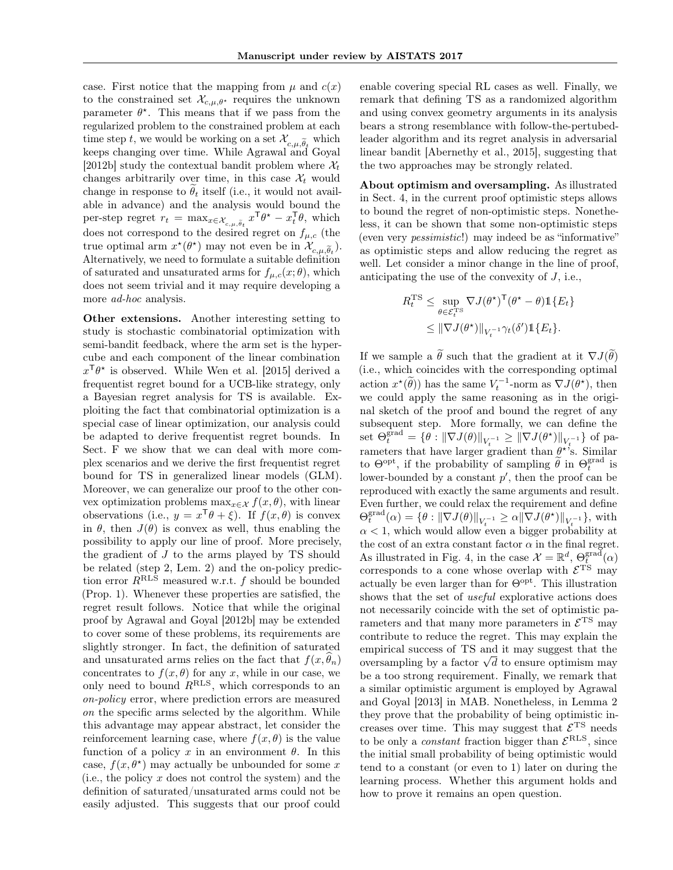case. First notice that the mapping from  $\mu$  and  $c(x)$ to the constrained set  $\mathcal{X}_{c,\mu,\theta^*}$  requires the unknown parameter  $\theta^*$ . This means that if we pass from the regularized problem to the constrained problem at each time step t, we would be working on a set  $\mathcal{X}_{c,\mu,\widetilde{\theta}_t}$  which keeps changing over time. While Agrawal and Goyal [2012b] study the contextual bandit problem where  $\mathcal{X}_t$ changes arbitrarily over time, in this case  $\mathcal{X}_t$  would change in response to  $\theta_t$  itself (i.e., it would not available in advance) and the analysis would bound the per-step regret  $r_t = \max_{x \in \mathcal{X}_{c,\mu,\tilde{\theta}_t}} x^{\mathsf{T}} \theta^* - x_t^{\mathsf{T}} \theta$ , which does not correspond to the desired regret on  $f_{\mu,c}$  (the true optimal arm  $x^*(\theta^*)$  may not even be in  $\mathcal{X}_{c,\mu,\tilde{\theta}_t}$ . Alternatively, we need to formulate a suitable definition of saturated and unsaturated arms for  $f_{\mu,c}(x;\theta)$ , which does not seem trivial and it may require developing a more *ad-hoc* analysis.

Other extensions. Another interesting setting to study is stochastic combinatorial optimization with semi-bandit feedback, where the arm set is the hypercube and each component of the linear combination  $x^{\mathsf{T}}\theta^*$  is observed. While Wen et al. [2015] derived a frequentist regret bound for a UCB-like strategy, only a Bayesian regret analysis for TS is available. Exploiting the fact that combinatorial optimization is a special case of linear optimization, our analysis could be adapted to derive frequentist regret bounds. In Sect. F we show that we can deal with more complex scenarios and we derive the first frequentist regret bound for TS in generalized linear models (GLM). Moreover, we can generalize our proof to the other convex optimization problems  $\max_{x \in \mathcal{X}} f(x, \theta)$ , with linear observations (i.e.,  $y = x^{\mathsf{T}}\theta + \xi$ ). If  $f(x, \theta)$  is convex in  $\theta$ , then  $J(\theta)$  is convex as well, thus enabling the possibility to apply our line of proof. More precisely, the gradient of  $J$  to the arms played by TS should be related (step 2, Lem. 2) and the on-policy prediction error $R^{\mathrm{RLS}}$  measured w.r.t.  $f$  should be bounded (Prop. 1). Whenever these properties are satisfied, the regret result follows. Notice that while the original proof by Agrawal and Goyal [2012b] may be extended to cover some of these problems, its requirements are slightly stronger. In fact, the definition of saturated and unsaturated arms relies on the fact that  $f(x, \hat{\theta}_n)$ concentrates to  $f(x, \theta)$  for any x, while in our case, we only need to bound  $R<sup>RLS</sup>$ , which corresponds to an on-policy error, where prediction errors are measured on the specific arms selected by the algorithm. While this advantage may appear abstract, let consider the reinforcement learning case, where  $f(x, \theta)$  is the value function of a policy x in an environment  $\theta$ . In this case,  $f(x, \theta^*)$  may actually be unbounded for some x (i.e., the policy  $x$  does not control the system) and the definition of saturated/unsaturated arms could not be easily adjusted. This suggests that our proof could

enable covering special RL cases as well. Finally, we remark that defining TS as a randomized algorithm and using convex geometry arguments in its analysis bears a strong resemblance with follow-the-pertubedleader algorithm and its regret analysis in adversarial linear bandit [Abernethy et al., 2015], suggesting that the two approaches may be strongly related.

About optimism and oversampling. As illustrated in Sect. 4, in the current proof optimistic steps allows to bound the regret of non-optimistic steps. Nonetheless, it can be shown that some non-optimistic steps (even very pessimistic!) may indeed be as "informative" as optimistic steps and allow reducing the regret as well. Let consider a minor change in the line of proof, anticipating the use of the convexity of  $J$ , i.e.,

$$
R_t^{\text{TS}} \leq \sup_{\theta \in \mathcal{E}_t^{\text{TS}}} \nabla J(\theta^{\star})^{\text{T}} (\theta^{\star} - \theta) \mathbb{1} \{ E_t \}
$$
  

$$
\leq \| \nabla J(\theta^{\star}) \|_{V_t^{-1}} \gamma_t(\delta') \mathbb{1} \{ E_t \}.
$$

If we sample a  $\tilde{\theta}$  such that the gradient at it  $\nabla J(\tilde{\theta})$ (i.e., which coincides with the corresponding optimal action  $x^*(\tilde{\theta})$  has the same  $V_t^{-1}$ -norm as  $\nabla J(\theta^*)$ , then we could apply the same reasoning as in the original sketch of the proof and bound the regret of any subsequent step. More formally, we can define the set  $\Theta_t^{\text{grad}} = \{ \theta : ||\nabla J(\theta)||_{V_t^{-1}} \geq ||\nabla J(\theta^{\star})||_{V_t^{-1}} \}$  of parameters that have larger gradient than  $\theta^*$ 's. Similar to  $\Theta^{\text{opt}}$ , if the probability of sampling  $\tilde{\theta}$  in  $\Theta_t^{\text{grad}}$  is lower-bounded by a constant  $p'$ , then the proof can be reproduced with exactly the same arguments and result. Even further, we could relax the requirement and define  $\Theta_t^{\text{grad}}(\alpha) = \{ \theta : ||\nabla J(\theta)||_{V_t^{-1}} \ge \alpha ||\nabla J(\theta^*)||_{V_t^{-1}} \},\$  with  $\alpha < 1$ , which would allow even a bigger probability at the cost of an extra constant factor  $\alpha$  in the final regret. As illustrated in Fig. 4, in the case  $\mathcal{X} = \mathbb{R}^d$ ,  $\Theta_t^{\text{grad}}(\alpha)$ corresponds to a cone whose overlap with  $\mathcal{E}^{\text{TS}}$  may actually be even larger than for  $\Theta^{\text{opt}}$ . This illustration shows that the set of useful explorative actions does not necessarily coincide with the set of optimistic parameters and that many more parameters in  $\mathcal{E}^{\mathrm{TS}}$  may contribute to reduce the regret. This may explain the empirical success of TS and it may suggest that the oversampling by a factor  $\sqrt{d}$  to ensure optimism may cover be a too strong requirement. Finally, we remark that a similar optimistic argument is employed by Agrawal and Goyal [2013] in MAB. Nonetheless, in Lemma 2 they prove that the probability of being optimistic increases over time. This may suggest that  $\mathcal{E}^{\text{TS}}$  needs to be only a *constant* fraction bigger than  $\mathcal{E}^{\text{RLS}}$ , since the initial small probability of being optimistic would tend to a constant (or even to 1) later on during the learning process. Whether this argument holds and how to prove it remains an open question.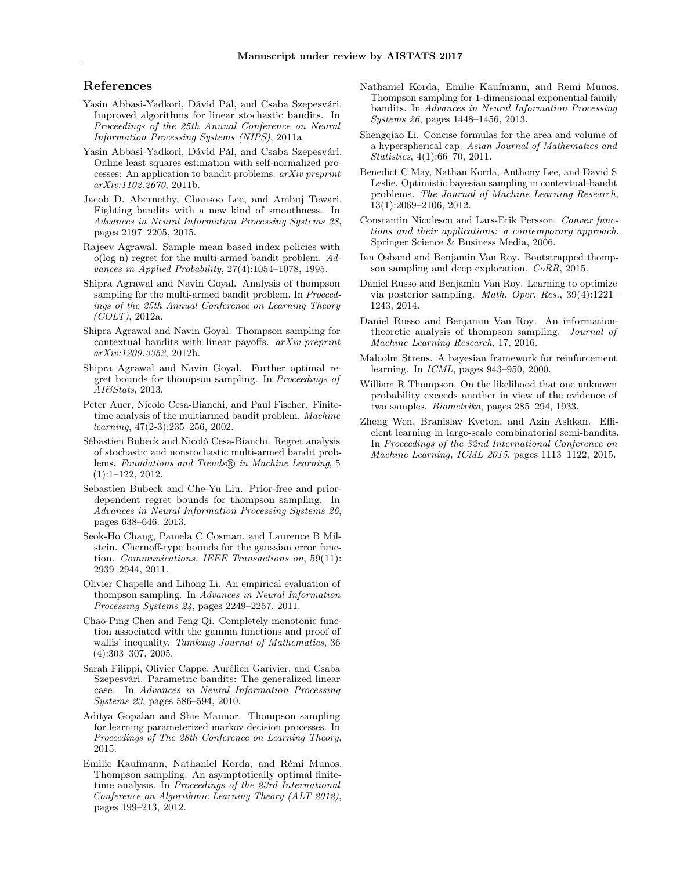#### References

- Yasin Abbasi-Yadkori, Dávid Pál, and Csaba Szepesvári. Improved algorithms for linear stochastic bandits. In Proceedings of the 25th Annual Conference on Neural Information Processing Systems (NIPS), 2011a.
- Yasin Abbasi-Yadkori, Dávid Pál, and Csaba Szepesvári. Online least squares estimation with self-normalized processes: An application to bandit problems. arXiv preprint arXiv:1102.2670, 2011b.
- Jacob D. Abernethy, Chansoo Lee, and Ambuj Tewari. Fighting bandits with a new kind of smoothness. In Advances in Neural Information Processing Systems 28, pages 2197–2205, 2015.
- Rajeev Agrawal. Sample mean based index policies with o(log n) regret for the multi-armed bandit problem. Advances in Applied Probability, 27(4):1054–1078, 1995.
- Shipra Agrawal and Navin Goyal. Analysis of thompson sampling for the multi-armed bandit problem. In *Proceed*ings of the 25th Annual Conference on Learning Theory  $(COLT)$ , 2012a.
- Shipra Agrawal and Navin Goyal. Thompson sampling for contextual bandits with linear payoffs. arXiv preprint arXiv:1209.3352, 2012b.
- Shipra Agrawal and Navin Goyal. Further optimal regret bounds for thompson sampling. In Proceedings of AI&Stats, 2013.
- Peter Auer, Nicolo Cesa-Bianchi, and Paul Fischer. Finitetime analysis of the multiarmed bandit problem. Machine learning, 47(2-3):235–256, 2002.
- Sébastien Bubeck and Nicolò Cesa-Bianchi. Regret analysis of stochastic and nonstochastic multi-armed bandit problems. Foundations and Trends® in Machine Learning, 5 (1):1–122, 2012.
- Sebastien Bubeck and Che-Yu Liu. Prior-free and priordependent regret bounds for thompson sampling. In Advances in Neural Information Processing Systems 26, pages 638–646. 2013.
- Seok-Ho Chang, Pamela C Cosman, and Laurence B Milstein. Chernoff-type bounds for the gaussian error function. Communications, IEEE Transactions on, 59(11): 2939–2944, 2011.
- Olivier Chapelle and Lihong Li. An empirical evaluation of thompson sampling. In Advances in Neural Information Processing Systems 24, pages 2249–2257. 2011.
- Chao-Ping Chen and Feng Qi. Completely monotonic function associated with the gamma functions and proof of wallis' inequality. Tamkang Journal of Mathematics, 36 (4):303–307, 2005.
- Sarah Filippi, Olivier Cappe, Aurélien Garivier, and Csaba Szepesvári. Parametric bandits: The generalized linear case. In Advances in Neural Information Processing Systems 23, pages 586–594, 2010.
- Aditya Gopalan and Shie Mannor. Thompson sampling for learning parameterized markov decision processes. In Proceedings of The 28th Conference on Learning Theory, 2015.
- Emilie Kaufmann, Nathaniel Korda, and Rémi Munos. Thompson sampling: An asymptotically optimal finitetime analysis. In Proceedings of the 23rd International Conference on Algorithmic Learning Theory (ALT 2012), pages 199–213, 2012.
- Nathaniel Korda, Emilie Kaufmann, and Remi Munos. Thompson sampling for 1-dimensional exponential family bandits. In Advances in Neural Information Processing Systems 26, pages 1448–1456, 2013.
- Shengqiao Li. Concise formulas for the area and volume of a hyperspherical cap. Asian Journal of Mathematics and Statistics, 4(1):66–70, 2011.
- Benedict C May, Nathan Korda, Anthony Lee, and David S Leslie. Optimistic bayesian sampling in contextual-bandit problems. The Journal of Machine Learning Research, 13(1):2069–2106, 2012.
- Constantin Niculescu and Lars-Erik Persson. Convex functions and their applications: a contemporary approach. Springer Science & Business Media, 2006.
- Ian Osband and Benjamin Van Roy. Bootstrapped thompson sampling and deep exploration. CoRR, 2015.
- Daniel Russo and Benjamin Van Roy. Learning to optimize via posterior sampling. Math. Oper. Res., 39(4):1221– 1243, 2014.
- Daniel Russo and Benjamin Van Roy. An informationtheoretic analysis of thompson sampling. Journal of Machine Learning Research, 17, 2016.
- Malcolm Strens. A bayesian framework for reinforcement learning. In ICML, pages 943–950, 2000.
- William R Thompson. On the likelihood that one unknown probability exceeds another in view of the evidence of two samples. Biometrika, pages 285–294, 1933.
- Zheng Wen, Branislav Kveton, and Azin Ashkan. Efficient learning in large-scale combinatorial semi-bandits. In Proceedings of the 32nd International Conference on Machine Learning, ICML 2015, pages 1113–1122, 2015.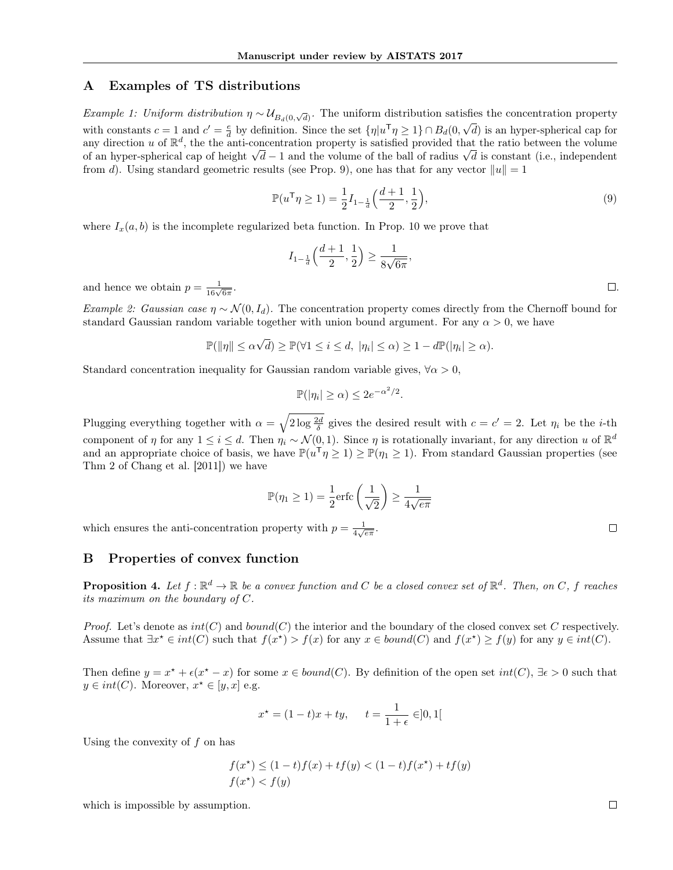# A Examples of TS distributions

Example 1: Uniform distribution  $\eta \sim U_{B_d(0,\sqrt{d})}$ . The uniform distribution satisfies the concentration property with constants  $c = 1$  and  $c' = \frac{e}{d}$  by definition. Since the set  $\{\eta | u^{\mathsf{T}}\eta \geq 1\} \cap B_d(0, \sqrt{d})$  is an hyper-spherical cap for any direction u of  $\mathbb{R}^d$ , the the anti-concentration property is satisfied provided that the ratio between the volume of an hyper-spherical cap of height  $\sqrt{d} - 1$  and the volume of the ball of radius  $\sqrt{d}$  is constant (i.e., independent from d). Using standard geometric results (see Prop. 9), one has that for any vector  $||u|| = 1$ 

$$
\mathbb{P}(u^{\mathsf{T}}\eta \ge 1) = \frac{1}{2}I_{1-\frac{1}{d}}\left(\frac{d+1}{2}, \frac{1}{2}\right),\tag{9}
$$

where  $I_x(a, b)$  is the incomplete regularized beta function. In Prop. 10 we prove that

$$
I_{1-\frac{1}{d}}\left(\frac{d+1}{2},\frac{1}{2}\right) \ge \frac{1}{8\sqrt{6\pi}},
$$

and hence we obtain  $p = \frac{1}{16\sqrt{6\pi}}$ 

Example 2: Gaussian case  $\eta \sim \mathcal{N}(0, I_d)$ . The concentration property comes directly from the Chernoff bound for standard Gaussian random variable together with union bound argument. For any  $\alpha > 0$ , we have

$$
\mathbb{P}(\|\eta\| \le \alpha\sqrt{d}) \ge \mathbb{P}(\forall 1 \le i \le d, |\eta_i| \le \alpha) \ge 1 - d\mathbb{P}(|\eta_i| \ge \alpha).
$$

Standard concentration inequality for Gaussian random variable gives,  $\forall \alpha > 0$ ,

$$
\mathbb{P}(|\eta_i| \ge \alpha) \le 2e^{-\alpha^2/2}.
$$

Plugging everything together with  $\alpha = \sqrt{2 \log \frac{2d}{\delta}}$  gives the desired result with  $c = c' = 2$ . Let  $\eta_i$  be the *i*-th component of  $\eta$  for any  $1 \leq i \leq d$ . Then  $\eta_i \sim \mathcal{N}(0, 1)$ . Since  $\eta$  is rotationally invariant, for any direction u of  $\mathbb{R}^d$ and an appropriate choice of basis, we have  $\mathbb{P}(u^{\mathsf{T}} \eta \geq 1) \geq \mathbb{P}(\eta_1 \geq 1)$ . From standard Gaussian properties (see Thm 2 of Chang et al. [2011]) we have

$$
\mathbb{P}(\eta_1 \ge 1) = \frac{1}{2} \text{erfc}\left(\frac{1}{\sqrt{2}}\right) \ge \frac{1}{4\sqrt{e\pi}}
$$

which ensures the anti-concentration property with  $p = \frac{1}{4\sqrt{e\pi}}$ .

#### B Properties of convex function

**Proposition 4.** Let  $f : \mathbb{R}^d \to \mathbb{R}$  be a convex function and C be a closed convex set of  $\mathbb{R}^d$ . Then, on C, f reaches its maximum on the boundary of  $C$ .

*Proof.* Let's denote as  $int(C)$  and  $bound(C)$  the interior and the boundary of the closed convex set C respectively. Assume that  $\exists x^* \in int(C)$  such that  $f(x^*) > f(x)$  for any  $x \in bound(C)$  and  $f(x^*) \ge f(y)$  for any  $y \in int(C)$ .

Then define  $y = x^* + \epsilon(x^* - x)$  for some  $x \in bound(C)$ . By definition of the open set  $int(C)$ ,  $\exists \epsilon > 0$  such that  $y \in int(C)$ . Moreover,  $x^* \in [y, x]$  e.g.

$$
x^* = (1 - t)x + ty
$$
,  $t = \frac{1}{1 + \epsilon} \in ]0, 1[$ 

Using the convexity of  $f$  on has

$$
f(x^*) \le (1-t)f(x) + tf(y) < (1-t)f(x^*) + tf(y)
$$
  

$$
f(x^*) < f(y)
$$

which is impossible by assumption.

 $\Box$ 

. The contract of the contract of the contract of the contract of  $\Box$  .  $\Box$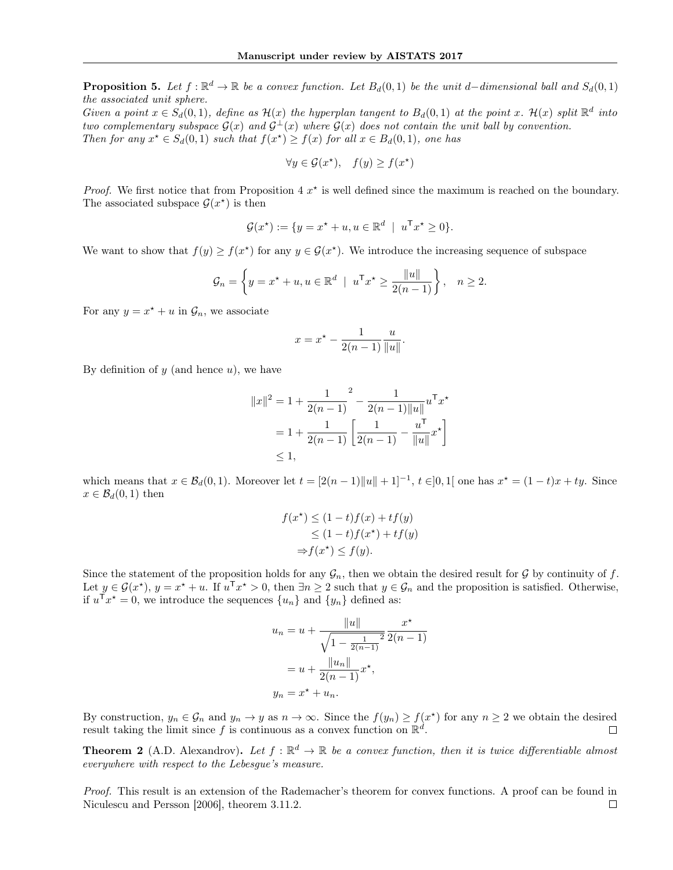**Proposition 5.** Let  $f : \mathbb{R}^d \to \mathbb{R}$  be a convex function. Let  $B_d(0,1)$  be the unit d–dimensional ball and  $S_d(0,1)$ the associated unit sphere.

Given a point  $x \in S_d(0,1)$ , define as  $\mathcal{H}(x)$  the hyperplan tangent to  $B_d(0,1)$  at the point x.  $\mathcal{H}(x)$  split  $\mathbb{R}^d$  into two complementary subspace  $G(x)$  and  $G^{\perp}(x)$  where  $G(x)$  does not contain the unit ball by convention. Then for any  $x^* \in S_d(0,1)$  such that  $f(x^*) \ge f(x)$  for all  $x \in B_d(0,1)$ , one has

$$
\forall y \in \mathcal{G}(x^\star), \quad f(y) \ge f(x^\star)
$$

*Proof.* We first notice that from Proposition 4  $x^*$  is well defined since the maximum is reached on the boundary. The associated subspace  $\mathcal{G}(x^*)$  is then

$$
\mathcal{G}(x^*) := \{ y = x^* + u, u \in \mathbb{R}^d \mid u^{\mathsf{T}} x^* \ge 0 \}.
$$

We want to show that  $f(y) \ge f(x^*)$  for any  $y \in \mathcal{G}(x^*)$ . We introduce the increasing sequence of subspace

$$
\mathcal{G}_n = \left\{ y = x^\star + u, u \in \mathbb{R}^d \mid u^\mathsf{T} x^\star \ge \frac{\|u\|}{2(n-1)} \right\}, \quad n \ge 2.
$$

For any  $y = x^* + u$  in  $\mathcal{G}_n$ , we associate

$$
x = x^* - \frac{1}{2(n-1)} \frac{u}{\|u\|}.
$$

By definition of  $y$  (and hence  $u$ ), we have

$$
||x||^2 = 1 + \frac{1}{2(n-1)}^2 - \frac{1}{2(n-1)||u||} u^{T} x^*
$$
  
=  $1 + \frac{1}{2(n-1)} \left[ \frac{1}{2(n-1)} - \frac{u^{T}}{||u||} x^* \right]$   
\$\leq 1\$,

which means that  $x \in \mathcal{B}_d(0,1)$ . Moreover let  $t = [2(n-1)\|u\| + 1]^{-1}$ ,  $t \in ]0,1[$  one has  $x^* = (1-t)x + ty$ . Since  $x \in \mathcal{B}_d(0,1)$  then

$$
f(x^*) \le (1-t)f(x) + tf(y)
$$
  
\n
$$
\le (1-t)f(x^*) + tf(y)
$$
  
\n
$$
\Rightarrow f(x^*) \le f(y).
$$

Since the statement of the proposition holds for any  $\mathcal{G}_n$ , then we obtain the desired result for  $\mathcal G$  by continuity of f. Let  $y \in \mathcal{G}(x^*)$ ,  $y = x^* + u$ . If  $u^{\mathsf{T}} x^* > 0$ , then  $\exists n \geq 2$  such that  $y \in \mathcal{G}_n$  and the proposition is satisfied. Otherwise, if  $u^{\mathsf{T}} x^* = 0$ , we introduce the sequences  $\{u_n\}$  and  $\{y_n\}$  defined as:

$$
u_n = u + \frac{||u||}{\sqrt{1 - \frac{1}{2(n-1)}}^2} \frac{x^*}{2(n-1)}
$$

$$
= u + \frac{||u_n||}{2(n-1)} x^*,
$$

$$
y_n = x^* + u_n.
$$

By construction,  $y_n \in \mathcal{G}_n$  and  $y_n \to y$  as  $n \to \infty$ . Since the  $f(y_n) \ge f(x^*)$  for any  $n \ge 2$  we obtain the desired result taking the limit since f is continuous as a convex function on  $\mathbb{R}^d$ .

**Theorem 2** (A.D. Alexandrov). Let  $f : \mathbb{R}^d \to \mathbb{R}$  be a convex function, then it is twice differentiable almost everywhere with respect to the Lebesgue's measure.

Proof. This result is an extension of the Rademacher's theorem for convex functions. A proof can be found in Niculescu and Persson [2006], theorem 3.11.2. $\Box$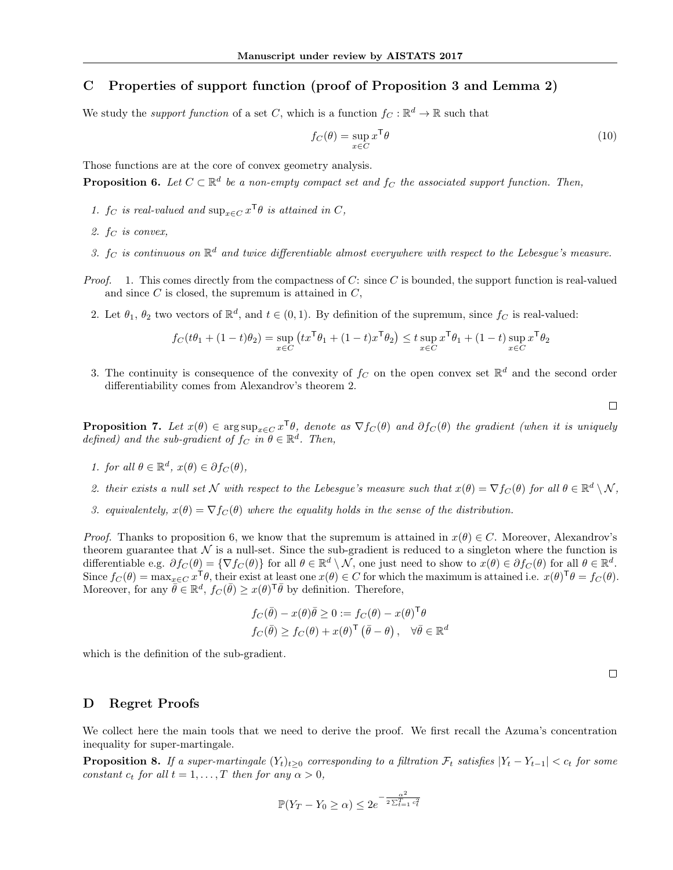# C Properties of support function (proof of Proposition 3 and Lemma 2)

We study the *support function* of a set C, which is a function  $f_C : \mathbb{R}^d \to \mathbb{R}$  such that

$$
f_C(\theta) = \sup_{x \in C} x^{\mathsf{T}} \theta \tag{10}
$$

Those functions are at the core of convex geometry analysis.

**Proposition 6.** Let  $C \subset \mathbb{R}^d$  be a non-empty compact set and  $f_C$  the associated support function. Then,

- 1.  $f_C$  is real-valued and  $\sup_{x \in C} x^{\mathsf{T}} \theta$  is attained in C,
- 2.  $f_C$  is convex,
- 3.  $f_C$  is continuous on  $\mathbb{R}^d$  and twice differentiable almost everywhere with respect to the Lebesgue's measure.
- *Proof.* 1. This comes directly from the compactness of C: since C is bounded, the support function is real-valued and since  $C$  is closed, the supremum is attained in  $C$ ,
	- 2. Let  $\theta_1$ ,  $\theta_2$  two vectors of  $\mathbb{R}^d$ , and  $t \in (0,1)$ . By definition of the supremum, since  $f_C$  is real-valued:

$$
f_C(t\theta_1+(1-t)\theta_2)=\sup_{x\in C}\left(tx^\mathsf{T}\theta_1+(1-t)x^\mathsf{T}\theta_2\right)\le t\sup_{x\in C}x^\mathsf{T}\theta_1+(1-t)\sup_{x\in C}x^\mathsf{T}\theta_2
$$

3. The continuity is consequence of the convexity of  $f_C$  on the open convex set  $\mathbb{R}^d$  and the second order differentiability comes from Alexandrov's theorem 2.

 $\Box$ 

**Proposition 7.** Let  $x(\theta) \in \arg \sup_{x \in C} x^{\mathsf{T}} \theta$ , denote as  $\nabla f_C(\theta)$  and  $\partial f_C(\theta)$  the gradient (when it is uniquely defined) and the sub-gradient of  $f_C$  in  $\theta \in \mathbb{R}^d$ . Then,

- 1. for all  $\theta \in \mathbb{R}^d$ ,  $x(\theta) \in \partial f_C(\theta)$ ,
- 2. their exists a null set N with respect to the Lebesgue's measure such that  $x(\theta) = \nabla f_C(\theta)$  for all  $\theta \in \mathbb{R}^d \setminus \mathcal{N}$ ,
- 3. equivalentely,  $x(\theta) = \nabla f_C(\theta)$  where the equality holds in the sense of the distribution.

*Proof.* Thanks to proposition 6, we know that the supremum is attained in  $x(\theta) \in C$ . Moreover, Alexandrov's theorem guarantee that  $\mathcal N$  is a null-set. Since the sub-gradient is reduced to a singleton where the function is differentiable e.g.  $\partial f_C(\theta) = \{ \nabla f_C(\theta) \}$  for all  $\theta \in \mathbb{R}^d \setminus \mathcal{N}$ , one just need to show to  $x(\theta) \in \partial f_C(\theta)$  for all  $\theta \in \mathbb{R}^d$ . Since  $f_C(\theta) = \max_{x \in C} x^\mathsf{T} \theta$ , their exist at least one  $x(\theta) \in C$  for which the maximum is attained i.e.  $x(\theta)^\mathsf{T} \theta = f_C(\theta)$ . Moreover, for any  $\bar{\theta} \in \mathbb{R}^d$ ,  $f_C(\bar{\theta}) \geq x(\theta)^{\mathsf{T}} \bar{\theta}$  by definition. Therefore,

$$
f_C(\bar{\theta}) - x(\theta)\bar{\theta} \ge 0 := f_C(\theta) - x(\theta)^{\mathsf{T}}\theta
$$
  

$$
f_C(\bar{\theta}) \ge f_C(\theta) + x(\theta)^{\mathsf{T}}(\bar{\theta} - \theta), \quad \forall \bar{\theta} \in \mathbb{R}^d
$$

which is the definition of the sub-gradient.

 $\Box$ 

#### D Regret Proofs

We collect here the main tools that we need to derive the proof. We first recall the Azuma's concentration inequality for super-martingale.

**Proposition 8.** If a super-martingale  $(Y_t)_{t\geq0}$  corresponding to a filtration  $\mathcal{F}_t$  satisfies  $|Y_t - Y_{t-1}| < c_t$  for some constant  $c_t$  for all  $t = 1, ..., T$  then for any  $\alpha > 0$ ,

$$
\mathbb{P}(Y_T - Y_0 \ge \alpha) \le 2e^{-\frac{\alpha^2}{2\sum_{t=1}^T c_t^2}}
$$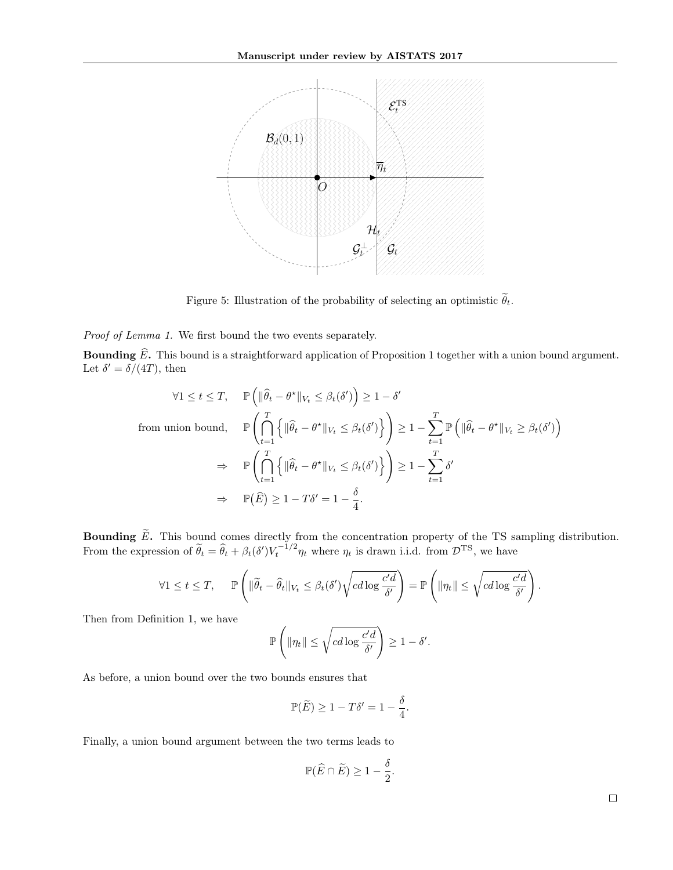

Figure 5: Illustration of the probability of selecting an optimistic  $\widetilde{\theta}_t$ .

Proof of Lemma 1. We first bound the two events separately.

**Bounding**  $\widehat{E}$ **.** This bound is a straightforward application of Proposition 1 together with a union bound argument. Let  $\delta' = \delta/(4T)$ , then

$$
\forall 1 \leq t \leq T, \quad \mathbb{P}\left(\|\widehat{\theta}_t - \theta^{\star}\|_{V_t} \leq \beta_t(\delta')\right) \geq 1 - \delta'
$$
  
from union bound, 
$$
\mathbb{P}\left(\bigcap_{t=1}^T \left\{\|\widehat{\theta}_t - \theta^{\star}\|_{V_t} \leq \beta_t(\delta')\right\}\right) \geq 1 - \sum_{t=1}^T \mathbb{P}\left(\|\widehat{\theta}_t - \theta^{\star}\|_{V_t} \geq \beta_t(\delta')\right)
$$

$$
\Rightarrow \quad \mathbb{P}\left(\bigcap_{t=1}^T \left\{\|\widehat{\theta}_t - \theta^{\star}\|_{V_t} \leq \beta_t(\delta')\right\}\right) \geq 1 - \sum_{t=1}^T \delta'
$$

$$
\Rightarrow \quad \mathbb{P}(\widehat{E}) \geq 1 - T\delta' = 1 - \frac{\delta}{4}.
$$

**Bounding**  $\widetilde{E}$ . This bound comes directly from the concentration property of the TS sampling distribution. From the expression of  $\tilde{\theta}_t = \hat{\theta}_t + \beta_t(\delta') V_t^{-1/2} \eta_t$  where  $\eta_t$  is drawn i.i.d. from  $\mathcal{D}^{TS}$ , we have

$$
\forall 1 \leq t \leq T, \quad \mathbb{P}\left(\|\widetilde{\theta}_t - \widehat{\theta}_t\|_{V_t} \leq \beta_t(\delta')\sqrt{cd\log \frac{c'd}{\delta'}}\right) = \mathbb{P}\left(\|\eta_t\| \leq \sqrt{cd\log \frac{c'd}{\delta'}}\right).
$$

Then from Definition 1, we have

$$
\mathbb{P}\left(\|\eta_t\| \leq \sqrt{cd\log \frac{c'd}{\delta'}}\right) \geq 1-\delta'.
$$

As before, a union bound over the two bounds ensures that

$$
\mathbb{P}(\widetilde{E}) \ge 1 - T\delta' = 1 - \frac{\delta}{4}.
$$

Finally, a union bound argument between the two terms leads to

$$
\mathbb{P}(\widehat{E} \cap \widetilde{E}) \ge 1 - \frac{\delta}{2}.
$$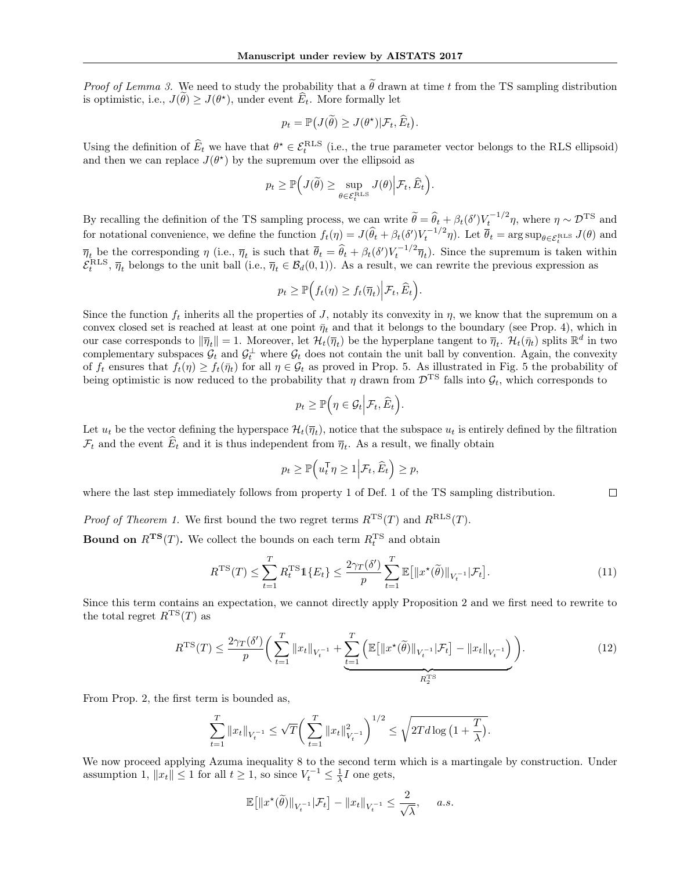*Proof of Lemma 3.* We need to study the probability that a  $\tilde{\theta}$  drawn at time t from the TS sampling distribution is optimistic, i.e.,  $J(\hat{\theta}) \ge J(\theta^*)$ , under event  $\hat{E}_t$ . More formally let

$$
p_t = \mathbb{P}\big(J(\widetilde{\theta}) \ge J(\theta^\star) | \mathcal{F}_t, \widehat{E}_t\big).
$$

Using the definition of  $\widehat{E}_t$  we have that  $\theta^* \in \mathcal{E}_t^{\text{RLS}}$  (i.e., the true parameter vector belongs to the RLS ellipsoid) and then we can replace  $J(\theta^*)$  by the supremum over the ellipsoid as

$$
p_t \geq \mathbb{P}\Big(J(\widetilde{\theta}) \geq \sup_{\theta \in \mathcal{E}_t^{\text{RLS}}} J(\theta)\Big|\mathcal{F}_t, \widehat{E}_t\Big).
$$

By recalling the definition of the TS sampling process, we can write  $\tilde{\theta} = \hat{\theta}_t + \beta_t(\delta')V_t^{-1/2}\eta$ , where  $\eta \sim \mathcal{D}^{TS}$  and for notational convenience, we define the function  $f_t(\eta) = J(\hat{\theta}_t + \beta_t(\delta')V_t^{-1/2}\eta)$ . Let  $\overline{\theta}_t = \arg \sup_{\theta \in \mathcal{E}_t^{\text{RLS}}} J(\theta)$  and  $\overline{\eta}_t$  be the corresponding  $\eta$  (i.e.,  $\overline{\eta}_t$  is such that  $\overline{\theta}_t = \widehat{\theta}_t + \beta_t(\delta')V_t^{-1/2}\overline{\eta}_t$ ). Since the supremum is taken within  $\mathcal{E}_t^{\text{RLS}}$ ,  $\overline{\eta}_t$  belongs to the unit ball (i.e.,  $\overline{\eta}_t \in \mathcal{B}_d(0,1)$ ). As a result, we can rewrite the previous expression as

$$
p_t \geq \mathbb{P}\Big(f_t(\eta) \geq f_t(\overline{\eta}_t)\Big| \mathcal{F}_t, \widehat{E}_t\Big).
$$

Since the function  $f_t$  inherits all the properties of J, notably its convexity in  $\eta$ , we know that the supremum on a convex closed set is reached at least at one point  $\bar{\eta}_t$  and that it belongs to the boundary (see Prop. 4), which in our case corresponds to  $\|\overline{\eta}_t\| = 1$ . Moreover, let  $\mathcal{H}_t(\overline{\eta}_t)$  be the hyperplane tangent to  $\overline{\eta}_t$ .  $\mathcal{H}_t(\overline{\eta}_t)$  splits  $\mathbb{R}^d$  in two complementary subspaces  $\mathcal{G}_t$  and  $\mathcal{G}_t^{\perp}$  where  $\mathcal{G}_t$  does not contain the unit ball by convention. Again, the convexity of  $f_t$  ensures that  $f_t(\eta) \ge f_t(\bar{\eta}_t)$  for all  $\eta \in \mathcal{G}_t$  as proved in Prop. 5. As illustrated in Fig. 5 the probability of being optimistic is now reduced to the probability that  $\eta$  drawn from  $\mathcal{D}^{TS}$  falls into  $\mathcal{G}_t$ , which corresponds to

$$
p_t \geq \mathbb{P}\Big(\eta \in \mathcal{G}_t \Big| \mathcal{F}_t, \widehat{E}_t\Big).
$$

Let  $u_t$  be the vector defining the hyperspace  $\mathcal{H}_t(\overline{\eta}_t)$ , notice that the subspace  $u_t$  is entirely defined by the filtration  $\mathcal{F}_t$  and the event  $E_t$  and it is thus independent from  $\overline{\eta}_t$ . As a result, we finally obtain

$$
p_t \ge \mathbb{P}\Big(u_t^\mathsf{T} \eta \ge 1 \Big| \mathcal{F}_t, \widehat{E}_t\Big) \ge p,
$$

where the last step immediately follows from property 1 of Def. 1 of the TS sampling distribution.  $\Box$ 

*Proof of Theorem 1.* We first bound the two regret terms  $R^{TS}(T)$  and  $R^{RLS}(T)$ .

**Bound on**  $R^{TS}(T)$ . We collect the bounds on each term  $R_t^{TS}$  and obtain

$$
R^{\mathrm{TS}}(T) \le \sum_{t=1}^{T} R_t^{\mathrm{TS}} \mathbb{1}\{E_t\} \le \frac{2\gamma_T(\delta')}{p} \sum_{t=1}^{T} \mathbb{E}\big[\|x^\star(\widetilde{\theta})\|_{V_t^{-1}}|\mathcal{F}_t\big].\tag{11}
$$

Since this term contains an expectation, we cannot directly apply Proposition 2 and we first need to rewrite to the total regret  $R^{TS}(T)$  as

$$
R^{TS}(T) \le \frac{2\gamma_T(\delta')}{p} \bigg( \sum_{t=1}^T \|x_t\|_{V_t^{-1}} + \underbrace{\sum_{t=1}^T \left( \mathbb{E} \big[ \|x^*(\tilde{\theta})\|_{V_t^{-1}} | \mathcal{F}_t \big] - \|x_t\|_{V_t^{-1}} \right)}_{R_2^{TS}} \bigg). \tag{12}
$$

From Prop. 2, the first term is bounded as,

$$
\sum_{t=1}^T \|x_t\|_{V_t^{-1}} \le \sqrt{T} \bigg( \sum_{t=1}^T \|x_t\|_{V_t^{-1}}^2 \bigg)^{1/2} \le \sqrt{2T d \log \big( 1 + \frac{T}{\lambda} \big)}.
$$

We now proceed applying Azuma inequality 8 to the second term which is a martingale by construction. Under assumption 1,  $||x_t|| \le 1$  for all  $t \ge 1$ , so since  $V_t^{-1} \le \frac{1}{\lambda}I$  one gets,

$$
\mathbb{E}\big[\|x^\star(\widetilde{\theta})\|_{V_t^{-1}}|\mathcal{F}_t\big]-\|x_t\|_{V_t^{-1}}\leq \frac{2}{\sqrt{\lambda}},\quad \ \, a.s.
$$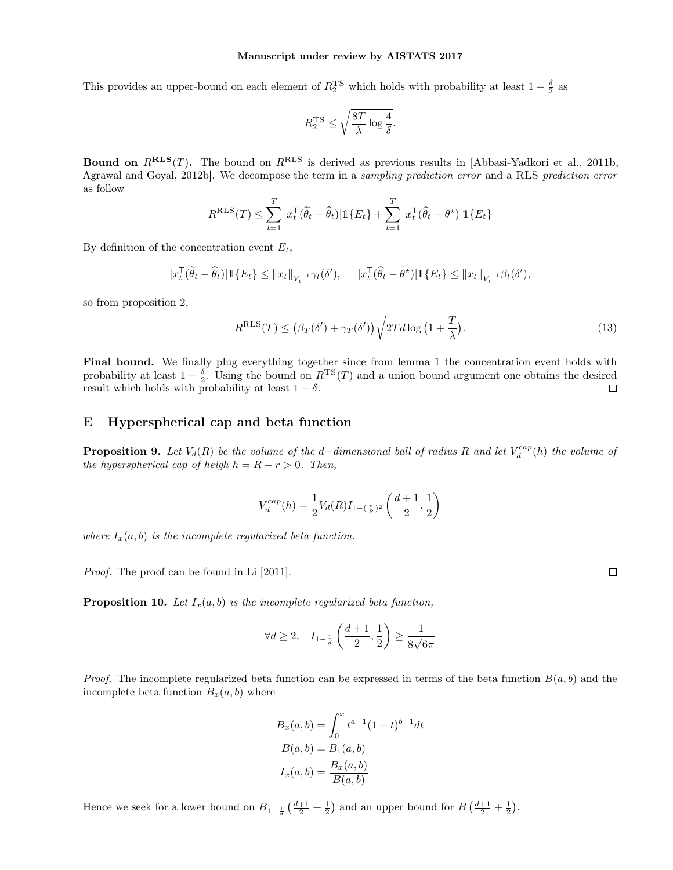This provides an upper-bound on each element of  $R_2^{\text{TS}}$  which holds with probability at least  $1-\frac{\delta}{2}$  as

$$
R^{\rm TS}_2 \leq \sqrt{\frac{8T}{\lambda} \log \frac{4}{\delta}}.
$$

**Bound on**  $R^{RLS}(T)$ . The bound on  $R^{RLS}$  is derived as previous results in [Abbasi-Yadkori et al., 2011b, Agrawal and Goyal, 2012b]. We decompose the term in a sampling prediction error and a RLS prediction error as follow

$$
R^{\mathrm{RLS}}(T) \leq \sum_{t=1}^{T} |x_t^\mathsf{T}(\widetilde{\theta}_t - \widehat{\theta}_t)| \mathbb{1}\{E_t\} + \sum_{t=1}^{T} |x_t^\mathsf{T}(\widehat{\theta}_t - \theta^\star)| \mathbb{1}\{E_t\}
$$

By definition of the concentration event  $E_t$ ,

$$
|x_t^\mathsf{T}(\widetilde{\theta}_t - \widehat{\theta}_t)| \mathbb{1}\{E_t\} \leq ||x_t||_{V_t^{-1}} \gamma_t(\delta'), \quad |x_t^\mathsf{T}(\widehat{\theta}_t - \theta^\star)| \mathbb{1}\{E_t\} \leq ||x_t||_{V_t^{-1}} \beta_t(\delta'),
$$

so from proposition 2,

$$
RRLS(T) \le (\beta_T(\delta') + \gamma_T(\delta'))\sqrt{2Td \log\left(1 + \frac{T}{\lambda}\right)}.
$$
\n(13)

Final bound. We finally plug everything together since from lemma 1 the concentration event holds with probability at least  $1 - \frac{\delta}{2}$ . Using the bound on  $R^{TS}(T)$  and a union bound argument one obtains the desired result which holds with probability at least  $1 - \delta$ .  $\Box$ 

#### E Hyperspherical cap and beta function

**Proposition 9.** Let  $V_d(R)$  be the volume of the d–dimensional ball of radius R and let  $V_d^{cap}(h)$  the volume of the hyperspherical cap of heigh  $h = R - r > 0$ . Then,

$$
V^{cap}_{d}(h) = \frac{1}{2} V_d(R) I_{1-(\frac{r}{R})^2} \left( \frac{d+1}{2}, \frac{1}{2} \right)
$$

where  $I_x(a, b)$  is the incomplete regularized beta function.

Proof. The proof can be found in Li [2011].

**Proposition 10.** Let  $I_x(a, b)$  is the incomplete regularized beta function,

$$
\forall d\geq 2, \quad I_{1-\frac{1}{d}}\left(\frac{d+1}{2},\frac{1}{2}\right)\geq \frac{1}{8\sqrt{6\pi}}
$$

*Proof.* The incomplete regularized beta function can be expressed in terms of the beta function  $B(a, b)$  and the incomplete beta function  $B_x(a, b)$  where

$$
B_x(a,b) = \int_0^x t^{a-1} (1-t)^{b-1} dt
$$
  
\n
$$
B(a,b) = B_1(a,b)
$$
  
\n
$$
I_x(a,b) = \frac{B_x(a,b)}{B(a,b)}
$$

Hence we seek for a lower bound on  $B_{1-\frac{1}{d}}\left(\frac{d+1}{2}+\frac{1}{2}\right)$  and an upper bound for  $B\left(\frac{d+1}{2}+\frac{1}{2}\right)$ .

 $\Box$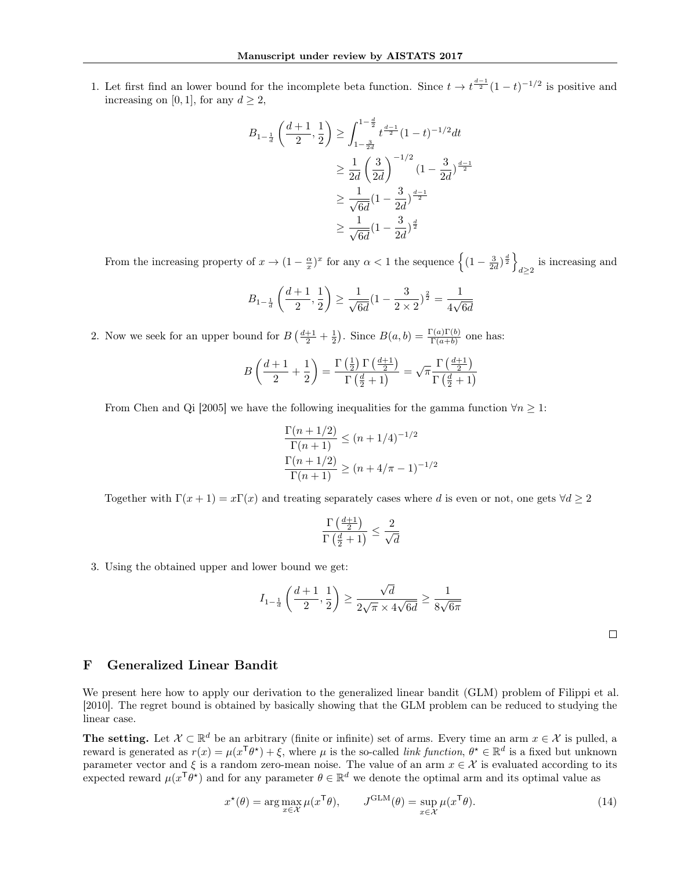1. Let first find an lower bound for the incomplete beta function. Since  $t \to t^{\frac{d-1}{2}}(1-t)^{-1/2}$  is positive and increasing on [0, 1], for any  $d \geq 2$ ,

$$
B_{1-\frac{1}{d}}\left(\frac{d+1}{2},\frac{1}{2}\right) \ge \int_{1-\frac{3}{2d}}^{1-\frac{d}{2}} t^{\frac{d-1}{2}} (1-t)^{-1/2} dt
$$
  

$$
\ge \frac{1}{2d} \left(\frac{3}{2d}\right)^{-1/2} (1-\frac{3}{2d})^{\frac{d-1}{2}}
$$
  

$$
\ge \frac{1}{\sqrt{6d}} (1-\frac{3}{2d})^{\frac{d-1}{2}}
$$
  

$$
\ge \frac{1}{\sqrt{6d}} (1-\frac{3}{2d})^{\frac{d}{2}}
$$

From the increasing property of  $x \to (1 - \frac{\alpha}{x})^x$  for any  $\alpha < 1$  the sequence  $\left\{ (1 - \frac{3}{2d})^{\frac{d}{2}} \right\}$ is increasing and  $d\geq 2$ 

$$
B_{1-\frac{1}{d}}\left(\frac{d+1}{2},\frac{1}{2}\right)\geq \frac{1}{\sqrt{6d}}(1-\frac{3}{2\times 2})^{\frac{2}{2}}=\frac{1}{4\sqrt{6d}}
$$

2. Now we seek for an upper bound for  $B\left(\frac{d+1}{2}+\frac{1}{2}\right)$ . Since  $B(a,b)=\frac{\Gamma(a)\Gamma(b)}{\Gamma(a+b)}$  one has:

$$
B\left(\frac{d+1}{2} + \frac{1}{2}\right) = \frac{\Gamma\left(\frac{1}{2}\right)\Gamma\left(\frac{d+1}{2}\right)}{\Gamma\left(\frac{d}{2} + 1\right)} = \sqrt{\pi} \frac{\Gamma\left(\frac{d+1}{2}\right)}{\Gamma\left(\frac{d}{2} + 1\right)}
$$

From Chen and Qi [2005] we have the following inequalities for the gamma function  $\forall n \geq 1$ :

$$
\frac{\Gamma(n+1/2)}{\Gamma(n+1)} \le (n+1/4)^{-1/2}
$$

$$
\frac{\Gamma(n+1/2)}{\Gamma(n+1)} \ge (n+4/\pi-1)^{-1/2}
$$

Together with  $\Gamma(x+1) = x\Gamma(x)$  and treating separately cases where d is even or not, one gets  $\forall d \geq 2$ 

$$
\frac{\Gamma\left(\frac{d+1}{2}\right)}{\Gamma\left(\frac{d}{2}+1\right)} \le \frac{2}{\sqrt{d}}
$$

3. Using the obtained upper and lower bound we get:

$$
I_{1-\frac{1}{d}}\left(\frac{d+1}{2},\frac{1}{2}\right) \ge \frac{\sqrt{d}}{2\sqrt{\pi} \times 4\sqrt{6d}} \ge \frac{1}{8\sqrt{6\pi}}
$$

 $\Box$ 

## F Generalized Linear Bandit

We present here how to apply our derivation to the generalized linear bandit (GLM) problem of Filippi et al. [2010]. The regret bound is obtained by basically showing that the GLM problem can be reduced to studying the linear case.

The setting. Let  $\mathcal{X} \subset \mathbb{R}^d$  be an arbitrary (finite or infinite) set of arms. Every time an arm  $x \in \mathcal{X}$  is pulled, a reward is generated as  $r(x) = \mu(x^{\mathsf{T}}\theta^*) + \xi$ , where  $\mu$  is the so-called *link function*,  $\theta^* \in \mathbb{R}^d$  is a fixed but unknown parameter vector and  $\xi$  is a random zero-mean noise. The value of an arm  $x \in \mathcal{X}$  is evaluated according to its expected reward  $\mu(x^{\mathsf{T}}\theta^*)$  and for any parameter  $\theta \in \mathbb{R}^d$  we denote the optimal arm and its optimal value as

$$
x^{\star}(\theta) = \arg \max_{x \in \mathcal{X}} \mu(x^{\mathsf{T}}\theta), \qquad J^{\text{GLM}}(\theta) = \sup_{x \in \mathcal{X}} \mu(x^{\mathsf{T}}\theta). \tag{14}
$$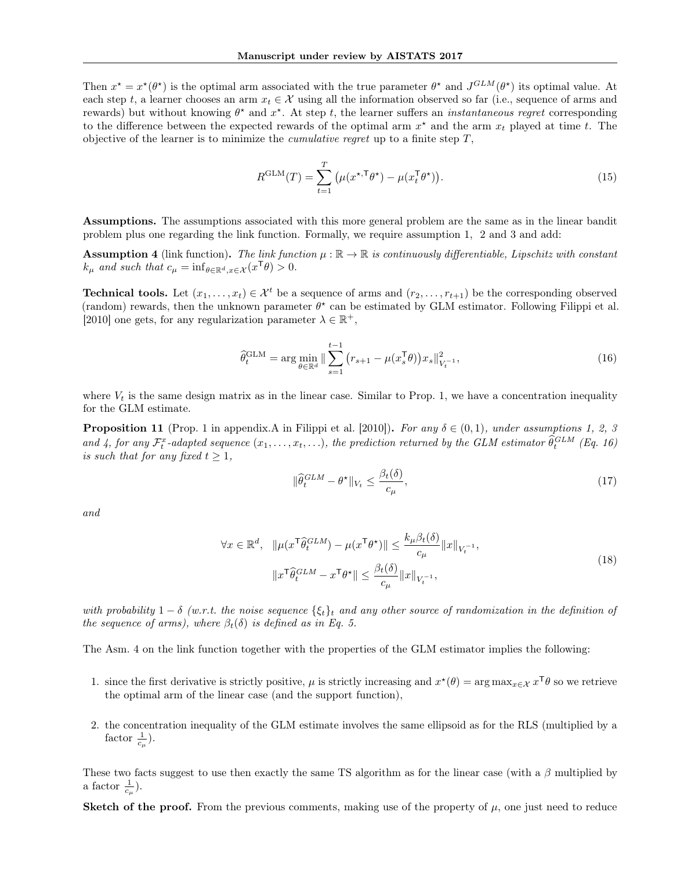Then  $x^* = x^*(\theta^*)$  is the optimal arm associated with the true parameter  $\theta^*$  and  $J^{GLM}(\theta^*)$  its optimal value. At each step t, a learner chooses an arm  $x_t \in \mathcal{X}$  using all the information observed so far (i.e., sequence of arms and rewards) but without knowing  $\theta^*$  and  $x^*$ . At step t, the learner suffers an *instantaneous regret* corresponding to the difference between the expected rewards of the optimal arm  $x^*$  and the arm  $x_t$  played at time t. The objective of the learner is to minimize the *cumulative regret* up to a finite step  $T$ ,

$$
R^{\text{GLM}}(T) = \sum_{t=1}^{T} \left( \mu(x^{\star, \mathsf{T}} \theta^{\star}) - \mu(x_t^{\mathsf{T}} \theta^{\star}) \right). \tag{15}
$$

Assumptions. The assumptions associated with this more general problem are the same as in the linear bandit problem plus one regarding the link function. Formally, we require assumption 1, 2 and 3 and add:

**Assumption 4** (link function). The link function  $\mu : \mathbb{R} \to \mathbb{R}$  is continuously differentiable, Lipschitz with constant  $k_{\mu}$  and such that  $c_{\mu} = \inf_{\theta \in \mathbb{R}^d, x \in \mathcal{X}} (x^{\mathsf{T}}\theta) > 0.$ 

**Technical tools.** Let  $(x_1, \ldots, x_t) \in \mathcal{X}^t$  be a sequence of arms and  $(r_2, \ldots, r_{t+1})$  be the corresponding observed (random) rewards, then the unknown parameter  $\theta^*$  can be estimated by GLM estimator. Following Filippi et al. [2010] one gets, for any regularization parameter  $\lambda \in \mathbb{R}^+$ ,

$$
\hat{\theta}_t^{\text{GLM}} = \arg \min_{\theta \in \mathbb{R}^d} \|\sum_{s=1}^{t-1} (r_{s+1} - \mu(x_s^{\mathsf{T}} \theta)) x_s\|_{V_t^{-1}}^2,\tag{16}
$$

where  $V_t$  is the same design matrix as in the linear case. Similar to Prop. 1, we have a concentration inequality for the GLM estimate.

**Proposition 11** (Prop. 1 in appendix.A in Filippi et al. [2010]). For any  $\delta \in (0,1)$ , under assumptions 1, 2, 3 and 4, for any  $\mathcal{F}_t^x$ -adapted sequence  $(x_1,\ldots,x_t,\ldots)$ , the prediction returned by the GLM estimator  $\hat{\theta}_t^{GLM}$  (Eq. 16) is such that for any fixed  $t \geq 1$ ,

$$
\|\widehat{\theta}_t^{GLM} - \theta^\star\|_{V_t} \le \frac{\beta_t(\delta)}{c_\mu},\tag{17}
$$

and

$$
\forall x \in \mathbb{R}^d, \quad \|\mu(x^{\mathsf{T}} \widehat{\theta}_t^{GLM}) - \mu(x^{\mathsf{T}} \theta^{\star})\| \le \frac{k_{\mu} \beta_t(\delta)}{c_{\mu}} \|x\|_{V_t^{-1}},
$$
\n
$$
\|x^{\mathsf{T}} \widehat{\theta}_t^{GLM} - x^{\mathsf{T}} \theta^{\star}\| \le \frac{\beta_t(\delta)}{c_{\mu}} \|x\|_{V_t^{-1}},
$$
\n
$$
(18)
$$

with probability  $1 - \delta$  (w.r.t. the noise sequence  $\{\xi_t\}_t$  and any other source of randomization in the definition of the sequence of arms), where  $\beta_t(\delta)$  is defined as in Eq. 5.

The Asm. 4 on the link function together with the properties of the GLM estimator implies the following:

- 1. since the first derivative is strictly positive,  $\mu$  is strictly increasing and  $x^*(\theta) = \arg \max_{x \in \mathcal{X}} x^{\mathsf{T}} \theta$  so we retrieve the optimal arm of the linear case (and the support function),
- 2. the concentration inequality of the GLM estimate involves the same ellipsoid as for the RLS (multiplied by a factor  $\frac{1}{c_{\mu}}$ ).

These two facts suggest to use then exactly the same TS algorithm as for the linear case (with a  $\beta$  multiplied by a factor  $\frac{1}{c_{\mu}}$ ).

**Sketch of the proof.** From the previous comments, making use of the property of  $\mu$ , one just need to reduce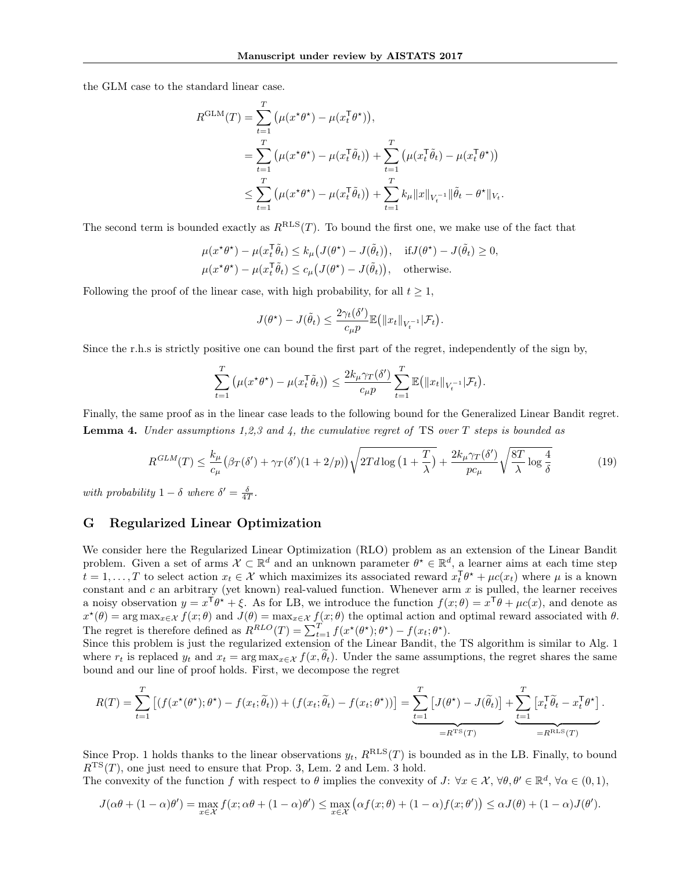the GLM case to the standard linear case.

$$
R^{\text{GLM}}(T) = \sum_{t=1}^{T} (\mu(x^{\star}\theta^{\star}) - \mu(x_t^{\top}\theta^{\star})),
$$
  
\n
$$
= \sum_{t=1}^{T} (\mu(x^{\star}\theta^{\star}) - \mu(x_t^{\top}\tilde{\theta}_t)) + \sum_{t=1}^{T} (\mu(x_t^{\top}\tilde{\theta}_t) - \mu(x_t^{\top}\theta^{\star}))
$$
  
\n
$$
\leq \sum_{t=1}^{T} (\mu(x^{\star}\theta^{\star}) - \mu(x_t^{\top}\tilde{\theta}_t)) + \sum_{t=1}^{T} k_{\mu} ||x||_{V_t^{-1}} ||\tilde{\theta}_t - \theta^{\star}||_{V_t}.
$$

The second term is bounded exactly as  $R^{RLS}(T)$ . To bound the first one, we make use of the fact that

$$
\mu(x^{\star}\theta^{\star}) - \mu(x_t^{\top}\tilde{\theta}_t) \le k_{\mu}(J(\theta^{\star}) - J(\tilde{\theta}_t)), \quad \text{if } J(\theta^{\star}) - J(\tilde{\theta}_t) \ge 0,
$$
  

$$
\mu(x^{\star}\theta^{\star}) - \mu(x_t^{\top}\tilde{\theta}_t) \le c_{\mu}(J(\theta^{\star}) - J(\tilde{\theta}_t)), \quad \text{otherwise.}
$$

Following the proof of the linear case, with high probability, for all  $t \geq 1$ ,

$$
J(\theta^*) - J(\tilde{\theta}_t) \leq \frac{2\gamma_t(\delta')}{c_\mu p} \mathbb{E} \big( \|x_t\|_{V_t^{-1}} | \mathcal{F}_t \big).
$$

Since the r.h.s is strictly positive one can bound the first part of the regret, independently of the sign by,

$$
\sum_{t=1}^T \left( \mu(x^{\star} \theta^{\star}) - \mu(x_t^{\top} \tilde{\theta}_t) \right) \leq \frac{2k_{\mu} \gamma_T(\delta')}{c_{\mu} p} \sum_{t=1}^T \mathbb{E} \left( ||x_t||_{V_t^{-1}} | \mathcal{F}_t \right).
$$

Finally, the same proof as in the linear case leads to the following bound for the Generalized Linear Bandit regret. **Lemma 4.** Under assumptions 1,2,3 and 4, the cumulative regret of TS over T steps is bounded as

$$
R^{GLM}(T) \le \frac{k_{\mu}}{c_{\mu}} \left(\beta_{T}(\delta') + \gamma_{T}(\delta')\left(1 + 2/p\right)\right) \sqrt{2T d \log\left(1 + \frac{T}{\lambda}\right)} + \frac{2k_{\mu}\gamma_{T}(\delta')}{pc_{\mu}} \sqrt{\frac{8T}{\lambda} \log\frac{4}{\delta}}
$$
(19)

with probability  $1 - \delta$  where  $\delta' = \frac{\delta}{4T}$ .

# G Regularized Linear Optimization

We consider here the Regularized Linear Optimization (RLO) problem as an extension of the Linear Bandit problem. Given a set of arms  $\mathcal{X} \subset \mathbb{R}^d$  and an unknown parameter  $\theta^* \in \mathbb{R}^d$ , a learner aims at each time step  $t = 1, \ldots, T$  to select action  $x_t \in \mathcal{X}$  which maximizes its associated reward  $x_t^{\mathsf{T}} \theta^* + \mu c(x_t)$  where  $\mu$  is a known constant and  $c$  an arbitrary (yet known) real-valued function. Whenever arm  $x$  is pulled, the learner receives a noisy observation  $y = x^{\mathsf{T}}\theta^* + \xi$ . As for LB, we introduce the function  $f(x;\theta) = x^{\mathsf{T}}\theta + \mu c(x)$ , and denote as  $x^*(\theta) = \arg \max_{x \in \mathcal{X}} f(x; \theta)$  and  $J(\theta) = \max_{x \in \mathcal{X}} f(x; \theta)$  the optimal action and optimal reward associated with  $\theta$ . The regret is therefore defined as  $R^{RLO}(T) = \sum_{t=1}^{T} f(x^{\star}(\theta^{\star}); \theta^{\star}) - f(x_t; \theta^{\star}).$ 

Since this problem is just the regularized extension of the Linear Bandit, the TS algorithm is similar to Alg. 1 where  $r_t$  is replaced  $y_t$  and  $x_t = \arg \max_{x \in \mathcal{X}} f(x, \tilde{\theta}_t)$ . Under the same assumptions, the regret shares the same bound and our line of proof holds. First, we decompose the regret

$$
R(T) = \sum_{t=1}^{T} \left[ \left( f(x^{\star}(\theta^{\star}); \theta^{\star}) - f(x_t; \tilde{\theta}_t) \right) + \left( f(x_t; \tilde{\theta}_t) - f(x_t; \theta^{\star}) \right) \right] = \underbrace{\sum_{t=1}^{T} \left[ J(\theta^{\star}) - J(\tilde{\theta}_t) \right]}_{=R^{TS}(T)} + \underbrace{\sum_{t=1}^{T} \left[ x_t^{\top} \tilde{\theta}_t - x_t^{\top} \theta^{\star} \right]}_{=R^{RLS}(T)}.
$$

Since Prop. 1 holds thanks to the linear observations  $y_t$ ,  $R^{RLS}(T)$  is bounded as in the LB. Finally, to bound  $R^{TS}(T)$ , one just need to ensure that Prop. 3, Lem. 2 and Lem. 3 hold.

The convexity of the function f with respect to  $\theta$  implies the convexity of  $J: \forall x \in \mathcal{X}, \forall \theta, \theta' \in \mathbb{R}^d, \forall \alpha \in (0,1),$ 

$$
J(\alpha\theta + (1-\alpha)\theta') = \max_{x \in \mathcal{X}} f(x; \alpha\theta + (1-\alpha)\theta') \le \max_{x \in \mathcal{X}} \left( \alpha f(x; \theta) + (1-\alpha)f(x; \theta') \right) \le \alpha J(\theta) + (1-\alpha)J(\theta').
$$